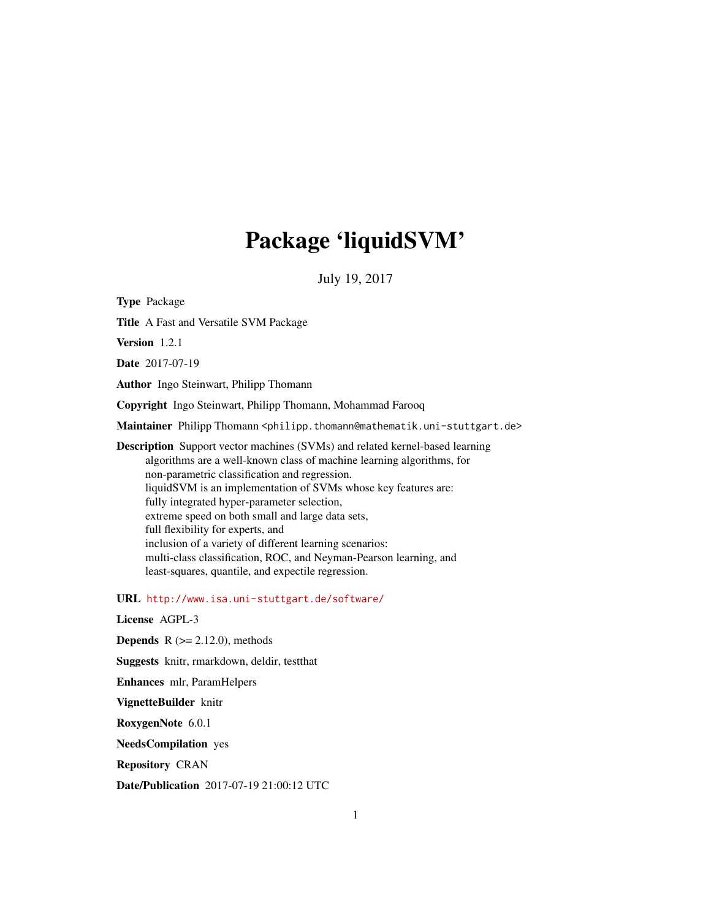# Package 'liquidSVM'

July 19, 2017

<span id="page-0-0"></span>Type Package Title A Fast and Versatile SVM Package Version 1.2.1 Date 2017-07-19 Author Ingo Steinwart, Philipp Thomann Copyright Ingo Steinwart, Philipp Thomann, Mohammad Farooq Maintainer Philipp Thomann <philipp.thomann@mathematik.uni-stuttgart.de> Description Support vector machines (SVMs) and related kernel-based learning algorithms are a well-known class of machine learning algorithms, for non-parametric classification and regression. liquidSVM is an implementation of SVMs whose key features are: fully integrated hyper-parameter selection, extreme speed on both small and large data sets, full flexibility for experts, and inclusion of a variety of different learning scenarios: multi-class classification, ROC, and Neyman-Pearson learning, and least-squares, quantile, and expectile regression. URL <http://www.isa.uni-stuttgart.de/software/>

License AGPL-3

**Depends**  $R$  ( $>= 2.12.0$ ), methods

Suggests knitr, rmarkdown, deldir, testthat

Enhances mlr, ParamHelpers

VignetteBuilder knitr

RoxygenNote 6.0.1

NeedsCompilation yes

Repository CRAN

Date/Publication 2017-07-19 21:00:12 UTC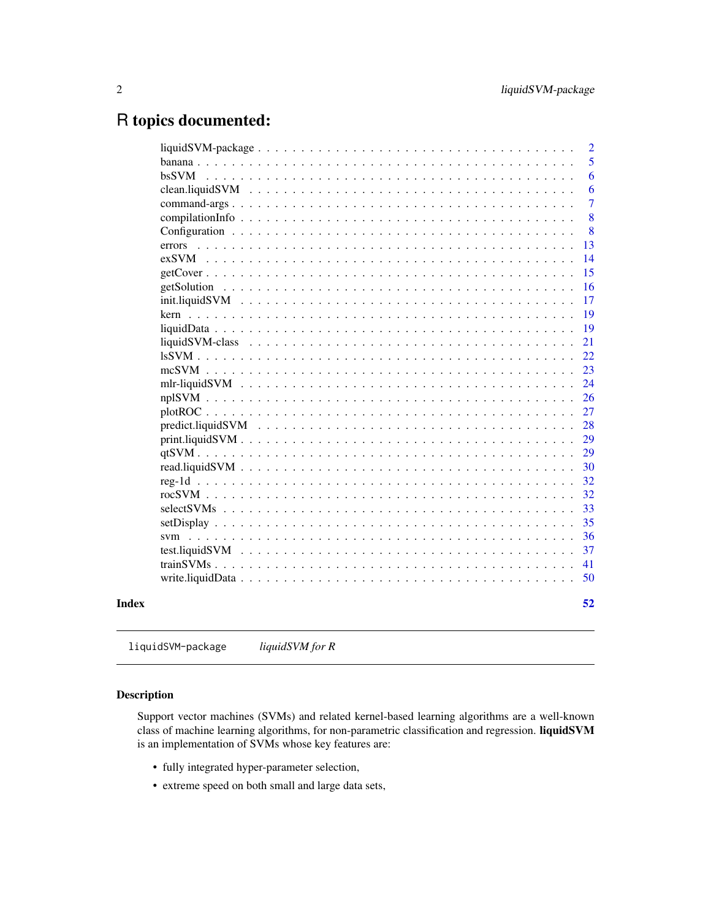# <span id="page-1-0"></span>R topics documented:

| $liquidSVM-package \ldots \ldots \ldots \ldots \ldots \ldots \ldots \ldots \ldots \ldots \ldots$ |                 |  |  |  |  |  |  |  |  |  |  |  |  |  |  |  | $\overline{2}$ |
|--------------------------------------------------------------------------------------------------|-----------------|--|--|--|--|--|--|--|--|--|--|--|--|--|--|--|----------------|
|                                                                                                  |                 |  |  |  |  |  |  |  |  |  |  |  |  |  |  |  | 5              |
| bsSVM                                                                                            |                 |  |  |  |  |  |  |  |  |  |  |  |  |  |  |  | 6              |
|                                                                                                  | clean.liquidSVM |  |  |  |  |  |  |  |  |  |  |  |  |  |  |  | 6              |
|                                                                                                  |                 |  |  |  |  |  |  |  |  |  |  |  |  |  |  |  | $\overline{7}$ |
|                                                                                                  |                 |  |  |  |  |  |  |  |  |  |  |  |  |  |  |  | 8              |
|                                                                                                  |                 |  |  |  |  |  |  |  |  |  |  |  |  |  |  |  | 8              |
|                                                                                                  |                 |  |  |  |  |  |  |  |  |  |  |  |  |  |  |  | 13             |
|                                                                                                  |                 |  |  |  |  |  |  |  |  |  |  |  |  |  |  |  | 14             |
|                                                                                                  |                 |  |  |  |  |  |  |  |  |  |  |  |  |  |  |  | 15             |
|                                                                                                  |                 |  |  |  |  |  |  |  |  |  |  |  |  |  |  |  | 16             |
|                                                                                                  |                 |  |  |  |  |  |  |  |  |  |  |  |  |  |  |  | 17             |
|                                                                                                  |                 |  |  |  |  |  |  |  |  |  |  |  |  |  |  |  | 19             |
|                                                                                                  |                 |  |  |  |  |  |  |  |  |  |  |  |  |  |  |  | 19             |
|                                                                                                  | liquidSVM-class |  |  |  |  |  |  |  |  |  |  |  |  |  |  |  | 21             |
|                                                                                                  |                 |  |  |  |  |  |  |  |  |  |  |  |  |  |  |  | 22             |
|                                                                                                  |                 |  |  |  |  |  |  |  |  |  |  |  |  |  |  |  | 23             |
|                                                                                                  |                 |  |  |  |  |  |  |  |  |  |  |  |  |  |  |  | 24             |
| nplSVM                                                                                           |                 |  |  |  |  |  |  |  |  |  |  |  |  |  |  |  | 26             |
|                                                                                                  |                 |  |  |  |  |  |  |  |  |  |  |  |  |  |  |  | 27             |
|                                                                                                  |                 |  |  |  |  |  |  |  |  |  |  |  |  |  |  |  | 28             |
|                                                                                                  |                 |  |  |  |  |  |  |  |  |  |  |  |  |  |  |  | 29             |
|                                                                                                  |                 |  |  |  |  |  |  |  |  |  |  |  |  |  |  |  | 29             |
|                                                                                                  |                 |  |  |  |  |  |  |  |  |  |  |  |  |  |  |  | 30             |
|                                                                                                  |                 |  |  |  |  |  |  |  |  |  |  |  |  |  |  |  | 32             |
|                                                                                                  |                 |  |  |  |  |  |  |  |  |  |  |  |  |  |  |  | 32             |
|                                                                                                  |                 |  |  |  |  |  |  |  |  |  |  |  |  |  |  |  | 33             |
|                                                                                                  |                 |  |  |  |  |  |  |  |  |  |  |  |  |  |  |  | 35             |
| $sym \dots$                                                                                      |                 |  |  |  |  |  |  |  |  |  |  |  |  |  |  |  | 36             |
|                                                                                                  |                 |  |  |  |  |  |  |  |  |  |  |  |  |  |  |  | 37             |
|                                                                                                  |                 |  |  |  |  |  |  |  |  |  |  |  |  |  |  |  | 41             |
|                                                                                                  |                 |  |  |  |  |  |  |  |  |  |  |  |  |  |  |  | 50             |
|                                                                                                  |                 |  |  |  |  |  |  |  |  |  |  |  |  |  |  |  | 52             |
|                                                                                                  |                 |  |  |  |  |  |  |  |  |  |  |  |  |  |  |  |                |

liquidSVM-package *liquidSVM for R*

#### Description

Support vector machines (SVMs) and related kernel-based learning algorithms are a well-known class of machine learning algorithms, for non-parametric classification and regression. liquidSVM is an implementation of SVMs whose key features are:

- fully integrated hyper-parameter selection,
- extreme speed on both small and large data sets,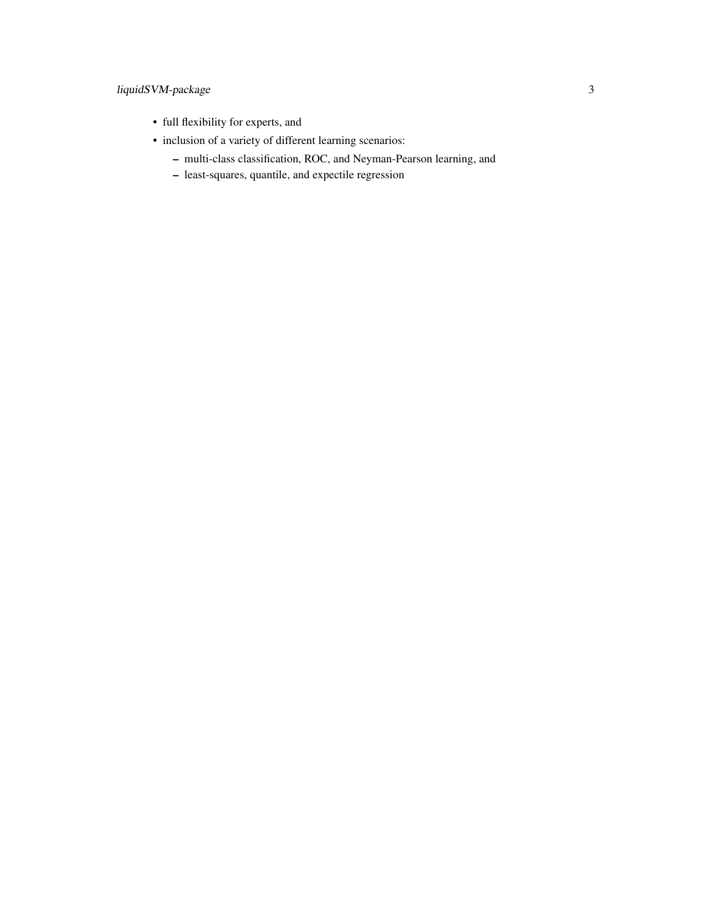# liquidSVM-package 3

- full flexibility for experts, and
- inclusion of a variety of different learning scenarios:
	- multi-class classification, ROC, and Neyman-Pearson learning, and
	- least-squares, quantile, and expectile regression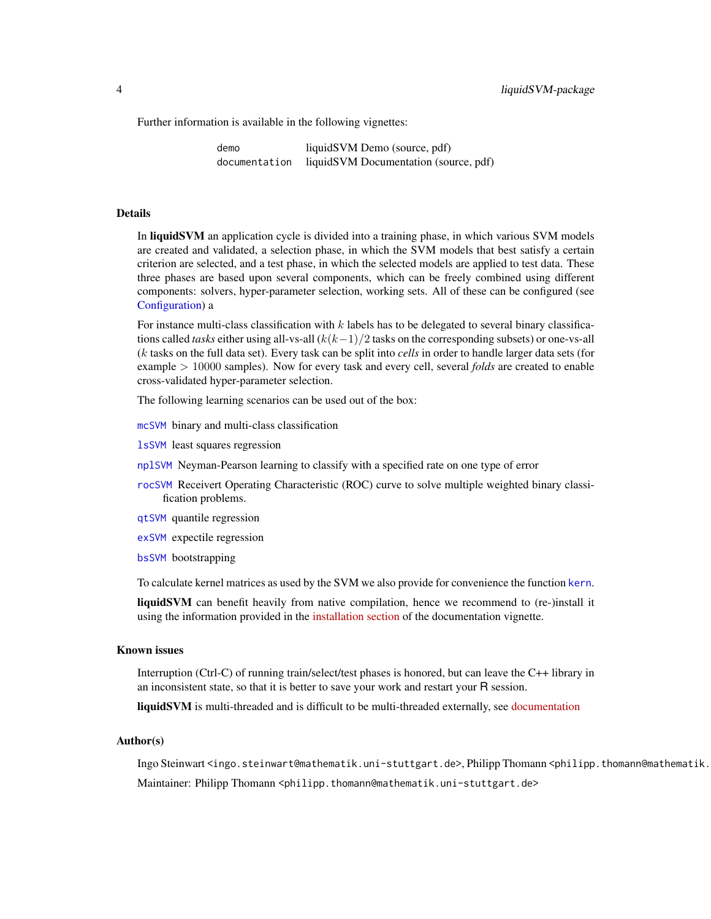<span id="page-3-0"></span>Further information is available in the following vignettes:

demo liquidSVM Demo (source, pdf) documentation liquidSVM Documentation (source, pdf)

#### Details

In liquidSVM an application cycle is divided into a training phase, in which various SVM models are created and validated, a selection phase, in which the SVM models that best satisfy a certain criterion are selected, and a test phase, in which the selected models are applied to test data. These three phases are based upon several components, which can be freely combined using different components: solvers, hyper-parameter selection, working sets. All of these can be configured (see [Configuration\)](#page-7-1) a

For instance multi-class classification with  $k$  labels has to be delegated to several binary classifications called *tasks* either using all-vs-all  $(k(k-1)/2$  tasks on the corresponding subsets) or one-vs-all (k tasks on the full data set). Every task can be split into *cells* in order to handle larger data sets (for example > 10000 samples). Now for every task and every cell, several *folds* are created to enable cross-validated hyper-parameter selection.

The following learning scenarios can be used out of the box:

[mcSVM](#page-22-1) binary and multi-class classification

[lsSVM](#page-21-1) least squares regression

- [nplSVM](#page-25-1) Neyman-Pearson learning to classify with a specified rate on one type of error
- [rocSVM](#page-31-1) Receivert Operating Characteristic (ROC) curve to solve multiple weighted binary classification problems.
- [qtSVM](#page-28-1) quantile regression
- [exSVM](#page-13-1) expectile regression
- [bsSVM](#page-5-1) bootstrapping

To calculate kernel matrices as used by the SVM we also provide for convenience the function [kern](#page-18-1).

liquidSVM can benefit heavily from native compilation, hence we recommend to (re-)install it using the information provided in the [installation section](documentation.html#Installation) of the documentation vignette.

#### Known issues

Interruption (Ctrl-C) of running train/select/test phases is honored, but can leave the C++ library in an inconsistent state, so that it is better to save your work and restart your R session.

liquidSVM is multi-threaded and is difficult to be multi-threaded externally, see [documentation](documentation.html#Using external parallelization)

#### Author(s)

Ingo Steinwart <ingo.steinwart@mathematik.uni-stuttgart.de>, Philipp Thomann <philipp.thomann@mathematik. Maintainer: Philipp Thomann <philipp.thomann@mathematik.uni-stuttgart.de>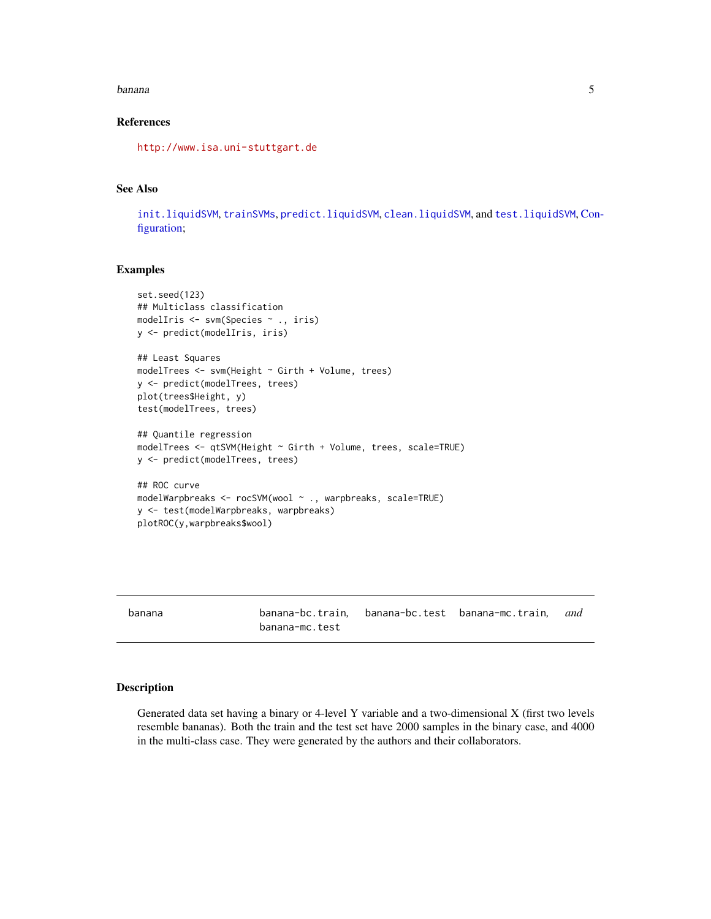#### <span id="page-4-0"></span>banana 5

### References

<http://www.isa.uni-stuttgart.de>

#### See Also

[init.liquidSVM](#page-16-1), [trainSVMs](#page-40-1), [predict.liquidSVM](#page-27-1), [clean.liquidSVM](#page-5-2), and [test.liquidSVM](#page-36-1), [Con](#page-7-1)[figuration;](#page-7-1)

#### Examples

```
set.seed(123)
## Multiclass classification
modelIris <- svm(Species ~ ., iris)
y <- predict(modelIris, iris)
## Least Squares
modelTrees <- svm(Height ~ Girth + Volume, trees)
y <- predict(modelTrees, trees)
plot(trees$Height, y)
test(modelTrees, trees)
## Quantile regression
modelTrees <- qtSVM(Height ~ Girth + Volume, trees, scale=TRUE)
y <- predict(modelTrees, trees)
## ROC curve
modelWarpbreaks <- rocSVM(wool ~ ., warpbreaks, scale=TRUE)
y <- test(modelWarpbreaks, warpbreaks)
plotROC(y,warpbreaks$wool)
```

| banana | banana-mc.test | banana-bc.train. banana-bc.test banana-mc.train. | and |
|--------|----------------|--------------------------------------------------|-----|
|        |                |                                                  |     |

#### Description

Generated data set having a binary or 4-level Y variable and a two-dimensional X (first two levels resemble bananas). Both the train and the test set have 2000 samples in the binary case, and 4000 in the multi-class case. They were generated by the authors and their collaborators.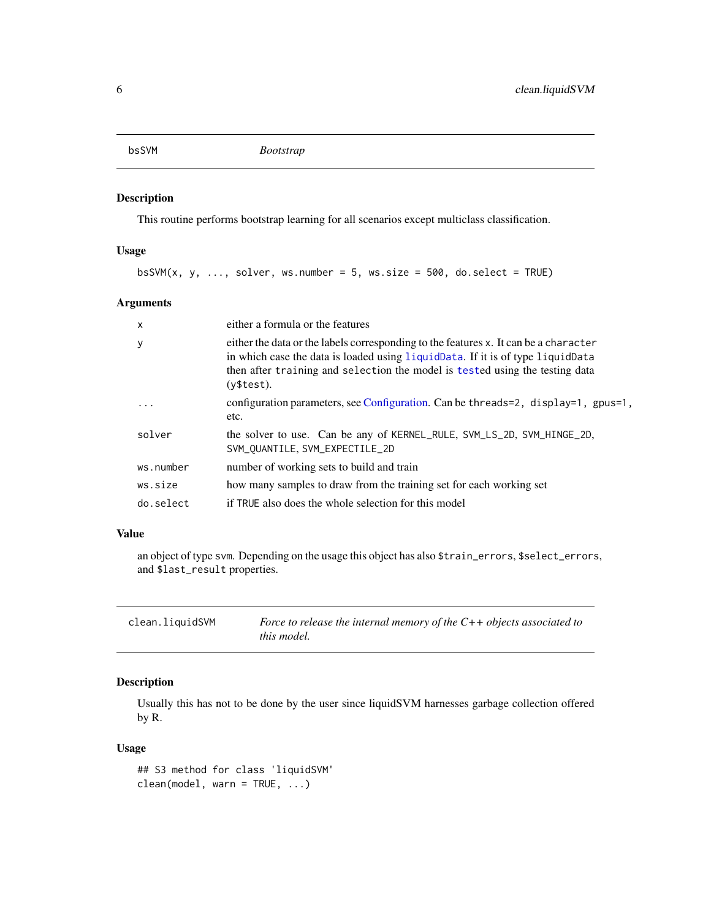```
bsSVM Bootstrap
```
#### Description

This routine performs bootstrap learning for all scenarios except multiclass classification.

#### Usage

 $bsSWM(x, y, ..., solver, ws.number = 5, ws.size = 500, do.sleepct = TRUE)$ 

#### Arguments

| $\mathsf{x}$ | either a formula or the features                                                                                                                                                                                                                                     |
|--------------|----------------------------------------------------------------------------------------------------------------------------------------------------------------------------------------------------------------------------------------------------------------------|
| y            | either the data or the labels corresponding to the features x. It can be a character<br>in which case the data is loaded using liquidData. If it is of type liquidData<br>then after training and selection the model is tested using the testing data<br>(v\$test). |
|              | configuration parameters, see Configuration. Can be threads=2, display=1, gpus=1,<br>etc.                                                                                                                                                                            |
| solver       | the solver to use. Can be any of KERNEL_RULE, SVM_LS_2D, SVM_HINGE_2D,<br>SVM_QUANTILE, SVM_EXPECTILE_2D                                                                                                                                                             |
| ws.number    | number of working sets to build and train                                                                                                                                                                                                                            |
| ws.size      | how many samples to draw from the training set for each working set                                                                                                                                                                                                  |
| do.select    | if TRUE also does the whole selection for this model                                                                                                                                                                                                                 |

#### Value

an object of type svm. Depending on the usage this object has also \$train\_errors, \$select\_errors, and \$last\_result properties.

<span id="page-5-2"></span>

| clean.liquidSVM | Force to release the internal memory of the $C++$ objects associated to |
|-----------------|-------------------------------------------------------------------------|
|                 | this model.                                                             |

#### Description

Usually this has not to be done by the user since liquidSVM harnesses garbage collection offered by R.

#### Usage

```
## S3 method for class 'liquidSVM'
clean(model, warn = TRUE, ...)
```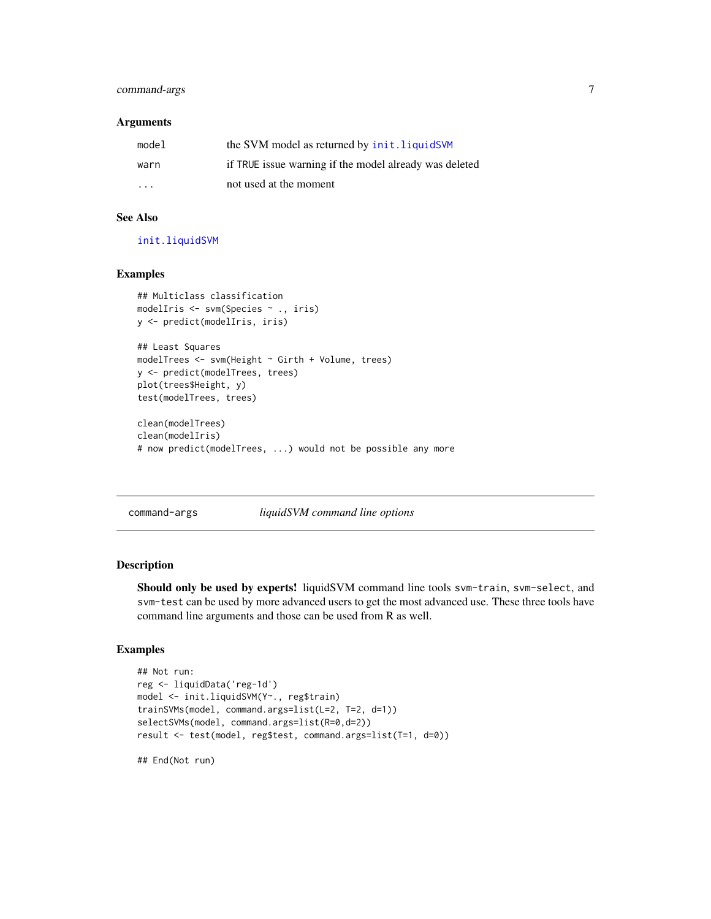#### <span id="page-6-0"></span>command-args 7

#### **Arguments**

| model                   | the SVM model as returned by init. liquidSVM           |
|-------------------------|--------------------------------------------------------|
| warn                    | if TRUE issue warning if the model already was deleted |
| $\cdot$ $\cdot$ $\cdot$ | not used at the moment                                 |

### See Also

[init.liquidSVM](#page-16-1)

#### Examples

```
## Multiclass classification
modelIris <- svm(Species ~ ., iris)
y <- predict(modelIris, iris)
## Least Squares
modelTrees <- svm(Height ~ Girth + Volume, trees)
y <- predict(modelTrees, trees)
plot(trees$Height, y)
test(modelTrees, trees)
clean(modelTrees)
clean(modelIris)
# now predict(modelTrees, ...) would not be possible any more
```
#### <span id="page-6-1"></span>command-args *liquidSVM command line options*

#### Description

Should only be used by experts! liquidSVM command line tools svm-train, svm-select, and svm-test can be used by more advanced users to get the most advanced use. These three tools have command line arguments and those can be used from R as well.

#### Examples

```
## Not run:
reg <- liquidData('reg-1d')
model <- init.liquidSVM(Y~., reg$train)
trainSVMs(model, command.args=list(L=2, T=2, d=1))
selectSVMs(model, command.args=list(R=0,d=2))
result <- test(model, reg$test, command.args=list(T=1, d=0))
```
## End(Not run)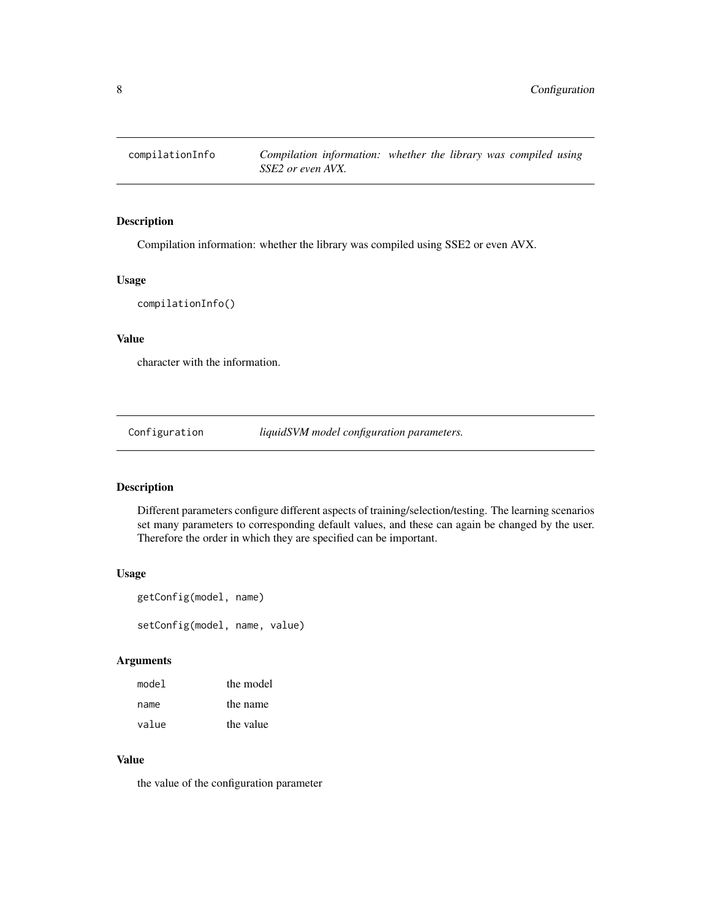<span id="page-7-0"></span>

### Description

Compilation information: whether the library was compiled using SSE2 or even AVX.

#### Usage

```
compilationInfo()
```
# Value

character with the information.

<span id="page-7-1"></span>Configuration *liquidSVM model configuration parameters.*

#### Description

Different parameters configure different aspects of training/selection/testing. The learning scenarios set many parameters to corresponding default values, and these can again be changed by the user. Therefore the order in which they are specified can be important.

#### Usage

```
getConfig(model, name)
setConfig(model, name, value)
```
#### Arguments

| model | the model |
|-------|-----------|
| name  | the name  |
| value | the value |

### Value

the value of the configuration parameter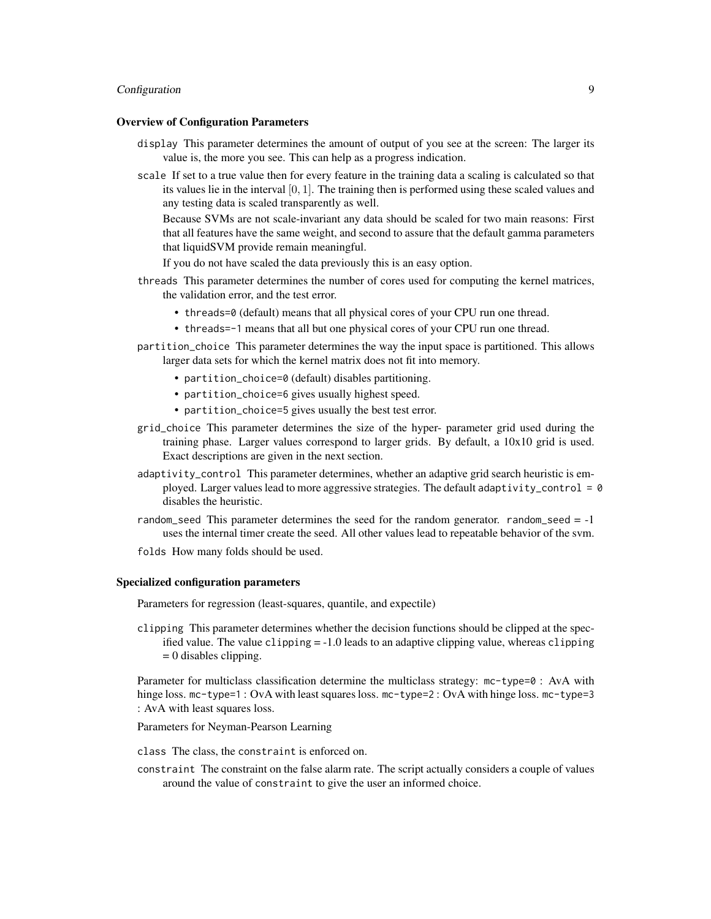#### Configuration 9

#### Overview of Configuration Parameters

- display This parameter determines the amount of output of you see at the screen: The larger its value is, the more you see. This can help as a progress indication.
- scale If set to a true value then for every feature in the training data a scaling is calculated so that its values lie in the interval [0, 1]. The training then is performed using these scaled values and any testing data is scaled transparently as well.

Because SVMs are not scale-invariant any data should be scaled for two main reasons: First that all features have the same weight, and second to assure that the default gamma parameters that liquidSVM provide remain meaningful.

If you do not have scaled the data previously this is an easy option.

- threads This parameter determines the number of cores used for computing the kernel matrices, the validation error, and the test error.
	- threads=0 (default) means that all physical cores of your CPU run one thread.
	- threads=-1 means that all but one physical cores of your CPU run one thread.
- partition\_choice This parameter determines the way the input space is partitioned. This allows larger data sets for which the kernel matrix does not fit into memory.
	- partition\_choice=0 (default) disables partitioning.
	- partition\_choice=6 gives usually highest speed.
	- partition\_choice=5 gives usually the best test error.
- grid\_choice This parameter determines the size of the hyper- parameter grid used during the training phase. Larger values correspond to larger grids. By default, a 10x10 grid is used. Exact descriptions are given in the next section.
- adaptivity\_control This parameter determines, whether an adaptive grid search heuristic is employed. Larger values lead to more aggressive strategies. The default adaptivity\_control =  $0$ disables the heuristic.
- random\_seed This parameter determines the seed for the random generator. random\_seed  $= -1$ uses the internal timer create the seed. All other values lead to repeatable behavior of the svm.
- folds How many folds should be used.

#### Specialized configuration parameters

Parameters for regression (least-squares, quantile, and expectile)

clipping This parameter determines whether the decision functions should be clipped at the specified value. The value clipping = -1.0 leads to an adaptive clipping value, whereas clipping  $= 0$  disables clipping.

Parameter for multiclass classification determine the multiclass strategy: mc-type=0 : AvA with hinge loss. mc-type=1 : OvA with least squares loss. mc-type=2 : OvA with hinge loss. mc-type=3 : AvA with least squares loss.

Parameters for Neyman-Pearson Learning

class The class, the constraint is enforced on.

constraint The constraint on the false alarm rate. The script actually considers a couple of values around the value of constraint to give the user an informed choice.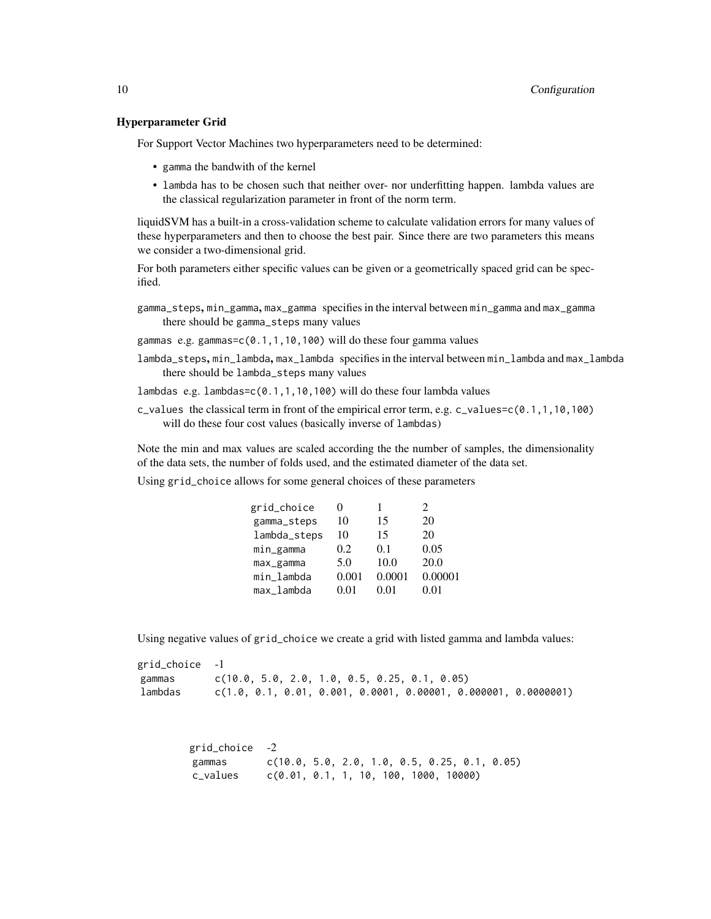#### Hyperparameter Grid

For Support Vector Machines two hyperparameters need to be determined:

- gamma the bandwith of the kernel
- lambda has to be chosen such that neither over- nor underfitting happen. lambda values are the classical regularization parameter in front of the norm term.

liquidSVM has a built-in a cross-validation scheme to calculate validation errors for many values of these hyperparameters and then to choose the best pair. Since there are two parameters this means we consider a two-dimensional grid.

For both parameters either specific values can be given or a geometrically spaced grid can be specified.

gamma\_steps, min\_gamma, max\_gamma specifies in the interval between min\_gamma and max\_gamma there should be gamma\_steps many values

gammas e.g. gammas=c(0.1,1,10,100) will do these four gamma values

- lambda\_steps, min\_lambda, max\_lambda specifies in the interval between min\_lambda and max\_lambda there should be lambda\_steps many values
- lambdas e.g. lambdas=c(0.1,1,10,100) will do these four lambda values
- c\_values the classical term in front of the empirical error term, e.g. c\_values=c( $0.1, 1, 10, 100$ ) will do these four cost values (basically inverse of lambdas)

Note the min and max values are scaled according the the number of samples, the dimensionality of the data sets, the number of folds used, and the estimated diameter of the data set.

Using grid\_choice allows for some general choices of these parameters

| grid_choice  |       |        | $\mathcal{D}_{\mathcal{L}}$ |
|--------------|-------|--------|-----------------------------|
| gamma_steps  | 10    | 15     | 20                          |
| lambda_steps | 10    | 15     | 20                          |
| min_gamma    | 0.2   | 0.1    | 0.05                        |
| max_gamma    | 5.0   | 10.0   | 20.0                        |
| min_lambda   | 0.001 | 0.0001 | 0.00001                     |
| max lambda   | 0.01  | 0.01   | 0.01                        |

Using negative values of grid\_choice we create a grid with listed gamma and lambda values:

grid\_choice -1 gammas c(10.0, 5.0, 2.0, 1.0, 0.5, 0.25, 0.1, 0.05) lambdas c(1.0, 0.1, 0.01, 0.001, 0.0001, 0.00001, 0.000001, 0.0000001)

| grid_choice -2 |                                                |  |  |  |  |
|----------------|------------------------------------------------|--|--|--|--|
| gammas         | $c(10.0, 5.0, 2.0, 1.0, 0.5, 0.25, 0.1, 0.05)$ |  |  |  |  |
| c_values       | c(0.01, 0.1, 1, 10, 100, 1000, 10000)          |  |  |  |  |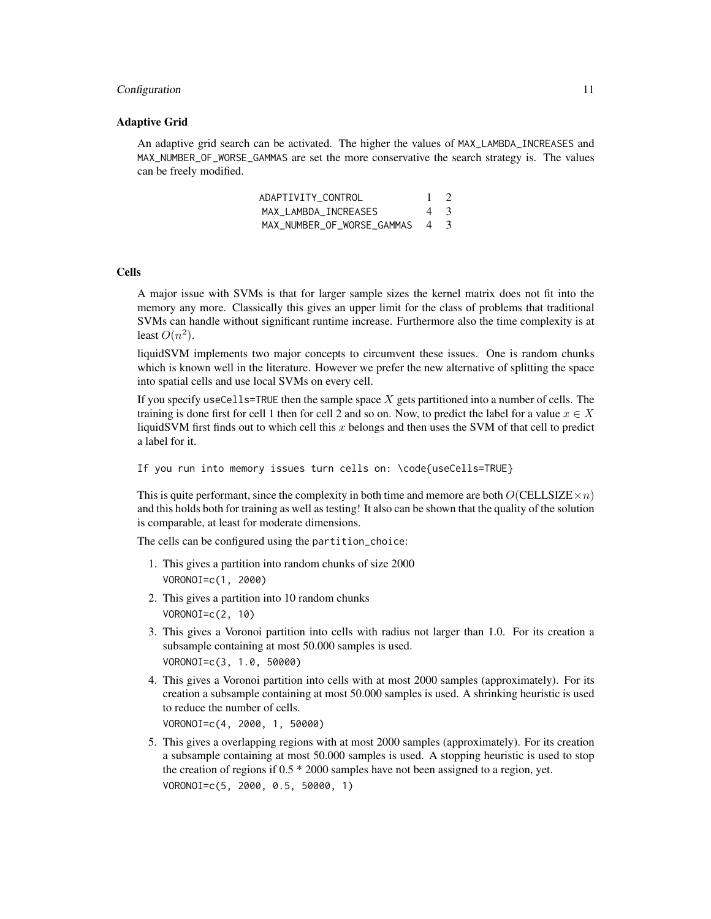#### Configuration 11

#### Adaptive Grid

An adaptive grid search can be activated. The higher the values of MAX\_LAMBDA\_INCREASES and MAX\_NUMBER\_OF\_WORSE\_GAMMAS are set the more conservative the search strategy is. The values can be freely modified.

| ADAPTIVITY CONTROL             | $1 \quad 2$ |  |
|--------------------------------|-------------|--|
| MAX LAMBDA INCREASES           | 4 3         |  |
| MAX NUMBER OF WORSE GAMMAS 4 3 |             |  |

#### Cells

A major issue with SVMs is that for larger sample sizes the kernel matrix does not fit into the memory any more. Classically this gives an upper limit for the class of problems that traditional SVMs can handle without significant runtime increase. Furthermore also the time complexity is at least  $O(n^2)$ .

liquidSVM implements two major concepts to circumvent these issues. One is random chunks which is known well in the literature. However we prefer the new alternative of splitting the space into spatial cells and use local SVMs on every cell.

If you specify useCells=TRUE then the sample space  $X$  gets partitioned into a number of cells. The training is done first for cell 1 then for cell 2 and so on. Now, to predict the label for a value  $x \in X$ liquidSVM first finds out to which cell this  $x$  belongs and then uses the SVM of that cell to predict a label for it.

```
If you run into memory issues turn cells on: \code{useCells=TRUE}
```
This is quite performant, since the complexity in both time and memore are both  $O(CELLSIZE \times n)$ and this holds both for training as well as testing! It also can be shown that the quality of the solution is comparable, at least for moderate dimensions.

The cells can be configured using the partition\_choice:

- 1. This gives a partition into random chunks of size 2000 VORONOI=c(1, 2000)
- 2. This gives a partition into 10 random chunks VORONOI=c(2, 10)
- 3. This gives a Voronoi partition into cells with radius not larger than 1.0. For its creation a subsample containing at most 50.000 samples is used. VORONOI=c(3, 1.0, 50000)
- 4. This gives a Voronoi partition into cells with at most 2000 samples (approximately). For its creation a subsample containing at most 50.000 samples is used. A shrinking heuristic is used to reduce the number of cells. VORONOI=c(4, 2000, 1, 50000)
- 5. This gives a overlapping regions with at most 2000 samples (approximately). For its creation a subsample containing at most 50.000 samples is used. A stopping heuristic is used to stop the creation of regions if 0.5 \* 2000 samples have not been assigned to a region, yet. VORONOI=c(5, 2000, 0.5, 50000, 1)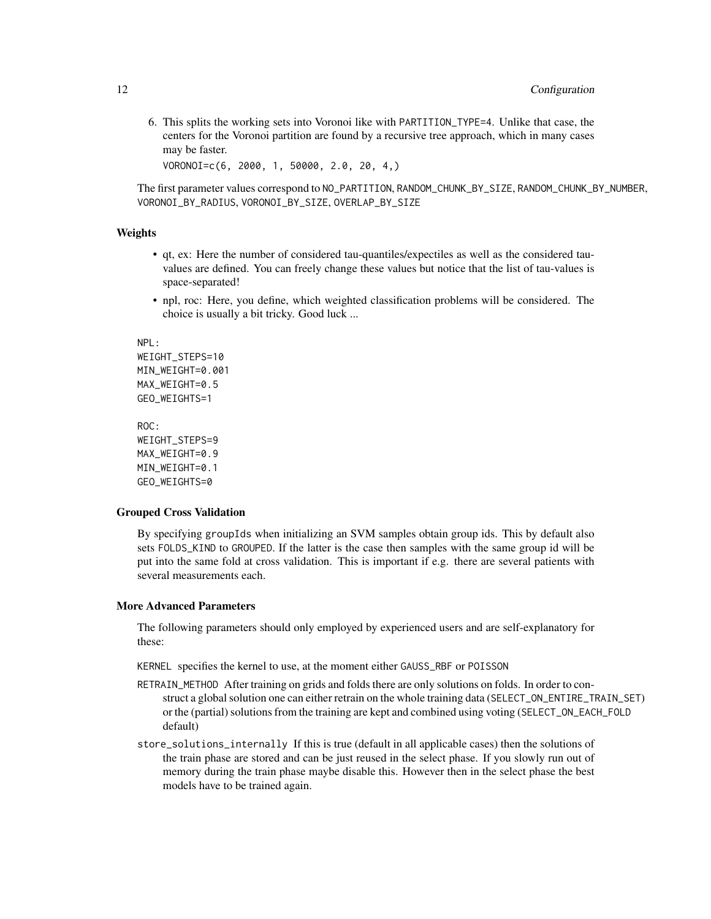6. This splits the working sets into Voronoi like with PARTITION\_TYPE=4. Unlike that case, the centers for the Voronoi partition are found by a recursive tree approach, which in many cases may be faster.

VORONOI=c(6, 2000, 1, 50000, 2.0, 20, 4,)

The first parameter values correspond to NO\_PARTITION, RANDOM\_CHUNK\_BY\_SIZE, RANDOM\_CHUNK\_BY\_NUMBER, VORONOI\_BY\_RADIUS, VORONOI\_BY\_SIZE, OVERLAP\_BY\_SIZE

#### Weights

- qt, ex: Here the number of considered tau-quantiles/expectiles as well as the considered tauvalues are defined. You can freely change these values but notice that the list of tau-values is space-separated!
- npl, roc: Here, you define, which weighted classification problems will be considered. The choice is usually a bit tricky. Good luck ...

NPL: WEIGHT\_STEPS=10 MIN\_WEIGHT=0.001 MAX\_WEIGHT=0.5 GEO\_WEIGHTS=1

ROC: WEIGHT\_STEPS=9 MAX\_WEIGHT=0.9 MIN\_WEIGHT=0.1 GEO\_WEIGHTS=0

#### Grouped Cross Validation

By specifying groupIds when initializing an SVM samples obtain group ids. This by default also sets FOLDS\_KIND to GROUPED. If the latter is the case then samples with the same group id will be put into the same fold at cross validation. This is important if e.g. there are several patients with several measurements each.

#### More Advanced Parameters

The following parameters should only employed by experienced users and are self-explanatory for these:

KERNEL specifies the kernel to use, at the moment either GAUSS\_RBF or POISSON

- RETRAIN\_METHOD After training on grids and folds there are only solutions on folds. In order to construct a global solution one can either retrain on the whole training data (SELECT\_ON\_ENTIRE\_TRAIN\_SET) or the (partial) solutions from the training are kept and combined using voting (SELECT\_ON\_EACH\_FOLD default)
- store\_solutions\_internally If this is true (default in all applicable cases) then the solutions of the train phase are stored and can be just reused in the select phase. If you slowly run out of memory during the train phase maybe disable this. However then in the select phase the best models have to be trained again.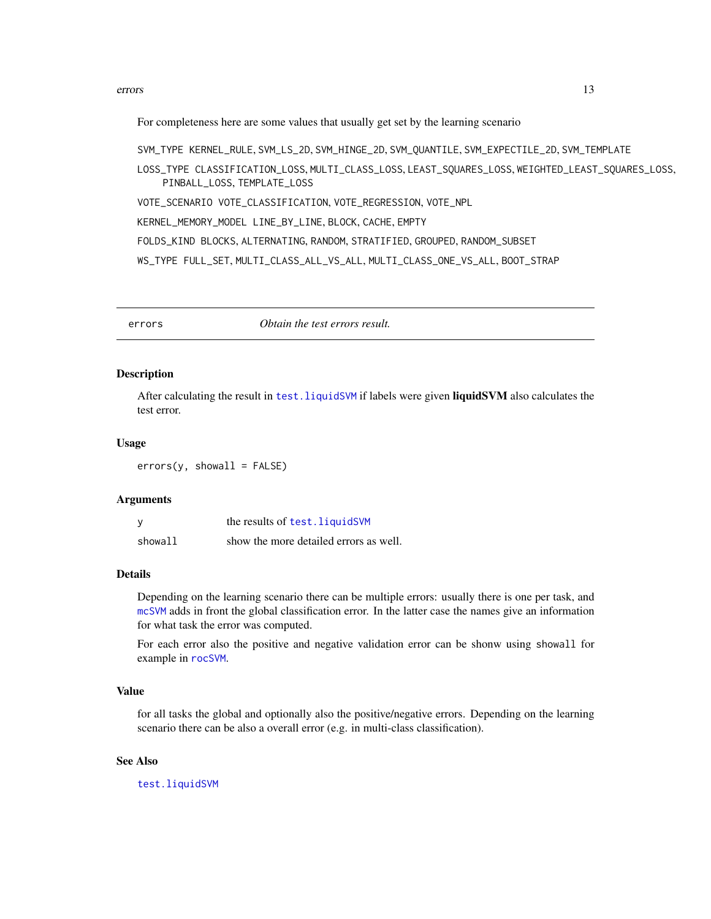#### <span id="page-12-0"></span>errors and the contract of the contract of the contract of the contract of the contract of the contract of the contract of the contract of the contract of the contract of the contract of the contract of the contract of the

For completeness here are some values that usually get set by the learning scenario

SVM\_TYPE KERNEL\_RULE, SVM\_LS\_2D, SVM\_HINGE\_2D, SVM\_QUANTILE, SVM\_EXPECTILE\_2D, SVM\_TEMPLATE

LOSS\_TYPE CLASSIFICATION\_LOSS, MULTI\_CLASS\_LOSS, LEAST\_SQUARES\_LOSS, WEIGHTED\_LEAST\_SQUARES\_LOSS, PINBALL\_LOSS, TEMPLATE\_LOSS

VOTE\_SCENARIO VOTE\_CLASSIFICATION, VOTE\_REGRESSION, VOTE\_NPL

KERNEL\_MEMORY\_MODEL LINE\_BY\_LINE, BLOCK, CACHE, EMPTY

FOLDS\_KIND BLOCKS, ALTERNATING, RANDOM, STRATIFIED, GROUPED, RANDOM\_SUBSET

WS\_TYPE FULL\_SET, MULTI\_CLASS\_ALL\_VS\_ALL, MULTI\_CLASS\_ONE\_VS\_ALL, BOOT\_STRAP

<span id="page-12-1"></span>errors *Obtain the test errors result.*

#### Description

After calculating the result in test. liquidSVM if labels were given liquidSVM also calculates the test error.

#### Usage

 $errors(y, shown 11 = FALSE)$ 

#### Arguments

|         | the results of test. liquidSVM         |
|---------|----------------------------------------|
| showall | show the more detailed errors as well. |

#### Details

Depending on the learning scenario there can be multiple errors: usually there is one per task, and [mcSVM](#page-22-1) adds in front the global classification error. In the latter case the names give an information for what task the error was computed.

For each error also the positive and negative validation error can be shonw using showall for example in [rocSVM](#page-31-1).

### Value

for all tasks the global and optionally also the positive/negative errors. Depending on the learning scenario there can be also a overall error (e.g. in multi-class classification).

### See Also

[test.liquidSVM](#page-36-1)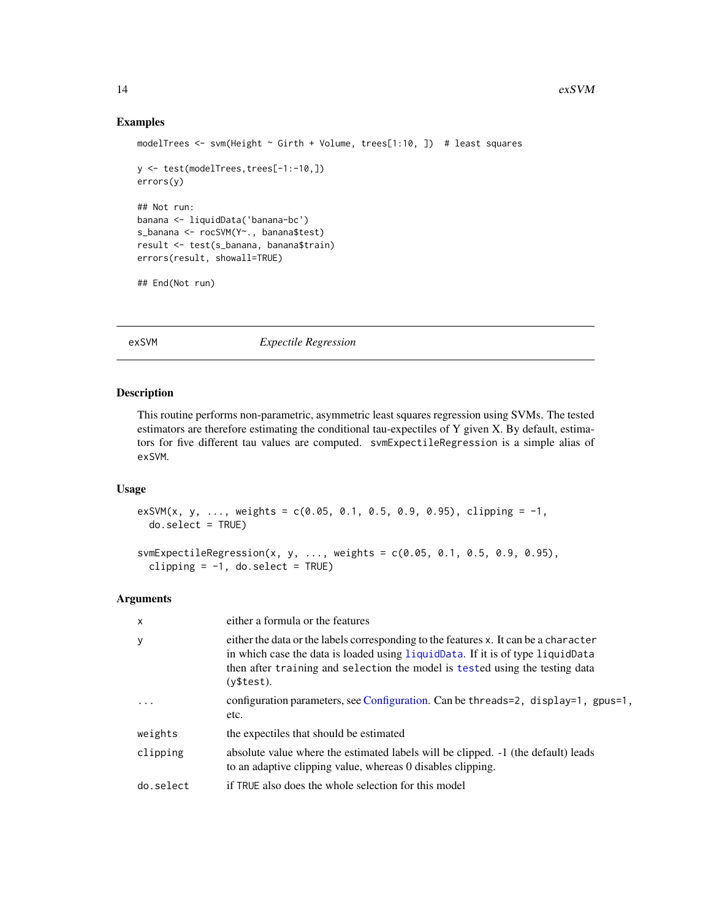#### Examples

```
modelTrees <- svm(Height ~ Girth + Volume, trees[1:10, ]) # least squares
y <- test(modelTrees,trees[-1:-10,])
errors(y)
## Not run:
banana <- liquidData('banana-bc')
s_banana <- rocSVM(Y~., banana$test)
result <- test(s_banana, banana$train)
errors(result, showall=TRUE)
## End(Not run)
```
#### <span id="page-13-1"></span>exSVM *Expectile Regression*

#### Description

This routine performs non-parametric, asymmetric least squares regression using SVMs. The tested estimators are therefore estimating the conditional tau-expectiles of Y given X. By default, estimators for five different tau values are computed. svmExpectileRegression is a simple alias of exSVM.

#### Usage

exSVM(x, y, ..., weights =  $c(0.05, 0.1, 0.5, 0.9, 0.95)$ , clipping = -1, do.select = TRUE)

```
svmExpectileRegression(x, y, ..., weights = c(0.05, 0.1, 0.5, 0.9, 0.95),
 clipping = -1, do.select = TRUE)
```
#### Arguments

| $\times$   | either a formula or the features                                                                                                                                                                                                                                     |
|------------|----------------------------------------------------------------------------------------------------------------------------------------------------------------------------------------------------------------------------------------------------------------------|
| У          | either the data or the labels corresponding to the features x. It can be a character<br>in which case the data is loaded using liquidData. If it is of type liquidData<br>then after training and selection the model is tested using the testing data<br>(v\$test). |
| $\ddots$ . | configuration parameters, see Configuration. Can be threads=2, display=1, gpus=1,<br>etc.                                                                                                                                                                            |
| weights    | the expectiles that should be estimated                                                                                                                                                                                                                              |
| clipping   | absolute value where the estimated labels will be clipped. -1 (the default) leads<br>to an adaptive clipping value, whereas 0 disables clipping.                                                                                                                     |
| do.select  | if TRUE also does the whole selection for this model                                                                                                                                                                                                                 |

<span id="page-13-0"></span>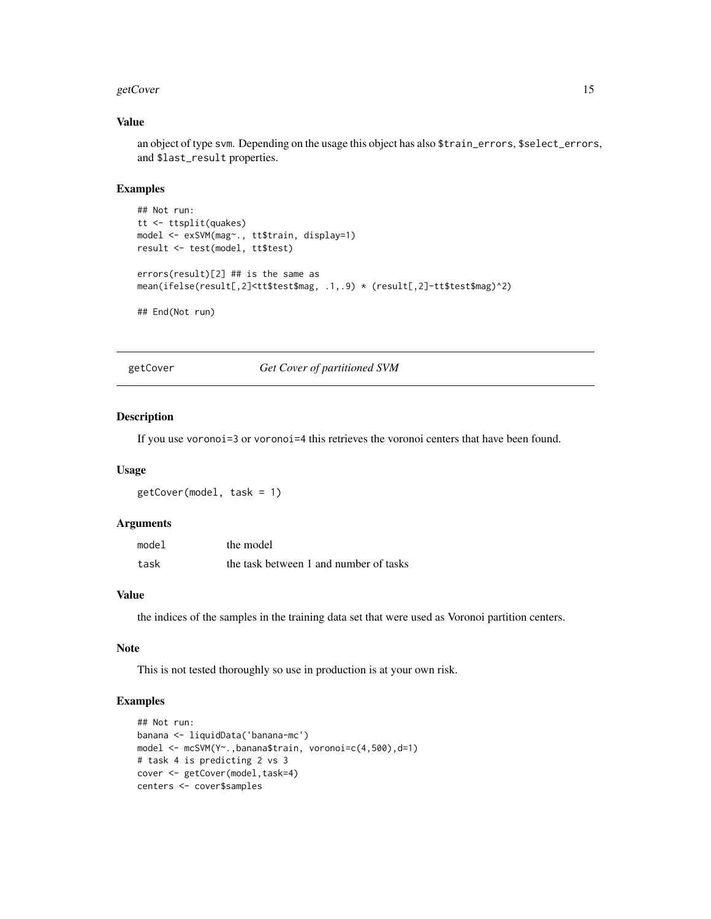#### <span id="page-14-0"></span>getCover and the set of the set of the set of the set of the set of the set of the set of the set of the set of the set of the set of the set of the set of the set of the set of the set of the set of the set of the set of

#### Value

an object of type svm. Depending on the usage this object has also \$train\_errors, \$select\_errors, and \$last\_result properties.

#### Examples

```
## Not run:
tt <- ttsplit(quakes)
model <- exSVM(mag~., tt$train, display=1)
result <- test(model, tt$test)
errors(result)[2] ## is the same as
mean(ifelse(result[,2]<tt$test$mag, .1,.9) * (result[,2]-tt$test$mag)^2)
## End(Not run)
```
getCover *Get Cover of partitioned SVM*

#### Description

If you use voronoi=3 or voronoi=4 this retrieves the voronoi centers that have been found.

#### Usage

getCover(model, task = 1)

#### Arguments

| model | the model                              |
|-------|----------------------------------------|
| task  | the task between 1 and number of tasks |

#### Value

the indices of the samples in the training data set that were used as Voronoi partition centers.

#### Note

This is not tested thoroughly so use in production is at your own risk.

#### Examples

```
## Not run:
banana <- liquidData('banana-mc')
model <- mcSVM(Y~.,banana$train, voronoi=c(4,500),d=1)
# task 4 is predicting 2 vs 3
cover <- getCover(model,task=4)
centers <- cover$samples
```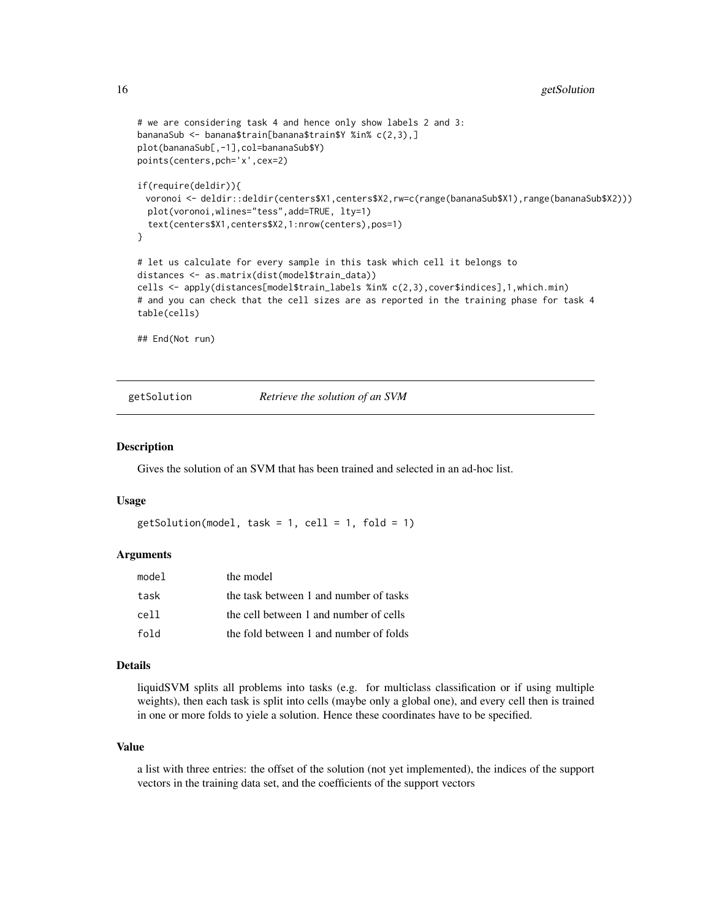```
# we are considering task 4 and hence only show labels 2 and 3:
bananaSub <- banana$train[banana$train$Y %in% c(2,3),]
plot(bananaSub[,-1],col=bananaSub$Y)
points(centers,pch='x',cex=2)
if(require(deldir)){
 voronoi <- deldir::deldir(centers$X1,centers$X2,rw=c(range(bananaSub$X1),range(bananaSub$X2)))
 plot(voronoi,wlines="tess",add=TRUE, lty=1)
 text(centers$X1,centers$X2,1:nrow(centers),pos=1)
}
# let us calculate for every sample in this task which cell it belongs to
distances <- as.matrix(dist(model$train_data))
cells <- apply(distances[model$train_labels %in% c(2,3),cover$indices],1,which.min)
# and you can check that the cell sizes are as reported in the training phase for task 4
table(cells)
## End(Not run)
```
getSolution *Retrieve the solution of an SVM*

#### Description

Gives the solution of an SVM that has been trained and selected in an ad-hoc list.

#### Usage

```
getSolution(model, task = 1, cell = 1, fold = 1)
```
#### Arguments

| model | the model                              |
|-------|----------------------------------------|
| task  | the task between 1 and number of tasks |
| cell  | the cell between 1 and number of cells |
| fold  | the fold between 1 and number of folds |

#### Details

liquidSVM splits all problems into tasks (e.g. for multiclass classification or if using multiple weights), then each task is split into cells (maybe only a global one), and every cell then is trained in one or more folds to yiele a solution. Hence these coordinates have to be specified.

#### Value

a list with three entries: the offset of the solution (not yet implemented), the indices of the support vectors in the training data set, and the coefficients of the support vectors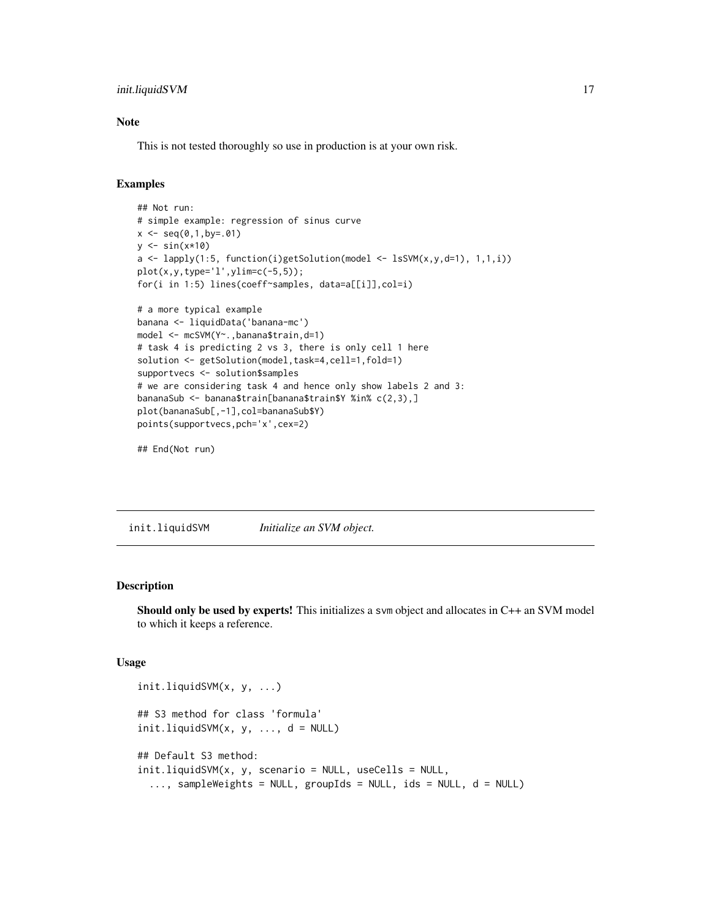#### <span id="page-16-0"></span>init.liquidSVM 17

#### Note

This is not tested thoroughly so use in production is at your own risk.

#### Examples

```
## Not run:
# simple example: regression of sinus curve
x \le - seq(0,1,by=.01)
y \leftarrow \sin(x \times 10)a \leftarrow lapply(1:5, function(i)getSolution(model \leftarrow lsSVM(x,y,d=1), 1,1,i))
plot(x,y,type='l',ylim=c(-5,5));
for(i in 1:5) lines(coeff~samples, data=a[[i]],col=i)
# a more typical example
banana <- liquidData('banana-mc')
model <- mcSVM(Y~.,banana$train,d=1)
# task 4 is predicting 2 vs 3, there is only cell 1 here
solution <- getSolution(model, task=4, cell=1, fold=1)
supportvecs <- solution$samples
# we are considering task 4 and hence only show labels 2 and 3:
bananaSub <- banana$train[banana$train$Y %in% c(2,3),]
plot(bananaSub[,-1],col=bananaSub$Y)
points(supportvecs,pch='x',cex=2)
```
## End(Not run)

<span id="page-16-1"></span>init.liquidSVM *Initialize an SVM object.*

#### Description

Should only be used by experts! This initializes a svm object and allocates in C++ an SVM model to which it keeps a reference.

#### Usage

```
init.liquidSVM(x, y, ...)
## S3 method for class 'formula'
init.liquidSVM(x, y, ..., d = NULL)## Default S3 method:
init.liquidSVM(x, y, scenario = NULL, useCells = NULL,
  ..., sampleWeights = NULL, groupIds = NULL, ids = NULL, d = NULL)
```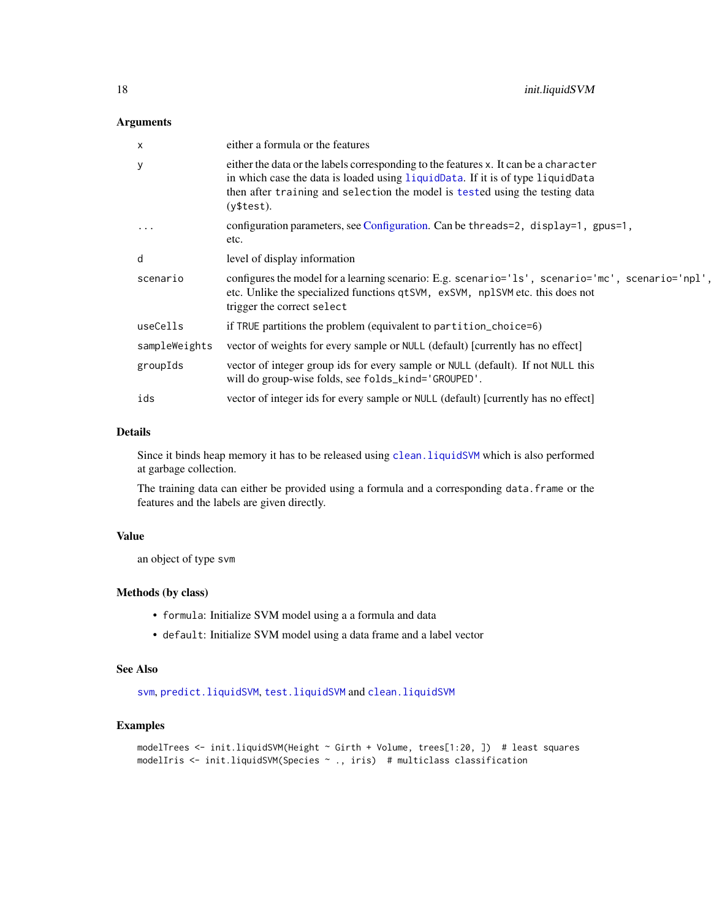### <span id="page-17-0"></span>Arguments

| x             | either a formula or the features                                                                                                                                                                                                                                     |
|---------------|----------------------------------------------------------------------------------------------------------------------------------------------------------------------------------------------------------------------------------------------------------------------|
| y             | either the data or the labels corresponding to the features x. It can be a character<br>in which case the data is loaded using liquidData. If it is of type liquidData<br>then after training and selection the model is tested using the testing data<br>(y\$test). |
| $\ddots$      | configuration parameters, see Configuration. Can be threads=2, display=1, gpus=1,<br>etc.                                                                                                                                                                            |
| d             | level of display information                                                                                                                                                                                                                                         |
| scenario      | configures the model for a learning scenario: E.g. scenario='1s', scenario='mc', scenario='npl',<br>etc. Unlike the specialized functions qtSVM, exSVM, nplSVM etc. this does not<br>trigger the correct select                                                      |
| useCells      | if TRUE partitions the problem (equivalent to partition_choice=6)                                                                                                                                                                                                    |
| sampleWeights | vector of weights for every sample or NULL (default) [currently has no effect]                                                                                                                                                                                       |
| groupIds      | vector of integer group ids for every sample or NULL (default). If not NULL this<br>will do group-wise folds, see folds_kind='GROUPED'.                                                                                                                              |
| ids           | vector of integer ids for every sample or NULL (default) [currently has no effect]                                                                                                                                                                                   |

#### Details

Since it binds heap memory it has to be released using [clean.liquidSVM](#page-5-2) which is also performed at garbage collection.

The training data can either be provided using a formula and a corresponding data.frame or the features and the labels are given directly.

#### Value

an object of type svm

#### Methods (by class)

- formula: Initialize SVM model using a a formula and data
- default: Initialize SVM model using a data frame and a label vector

#### See Also

[svm](#page-35-1), [predict.liquidSVM](#page-27-1), [test.liquidSVM](#page-36-1) and [clean.liquidSVM](#page-5-2)

#### Examples

```
modelTrees <- init.liquidSVM(Height ~ Girth + Volume, trees[1:20, ]) # least squares
modelIris <- init.liquidSVM(Species ~ ., iris) # multiclass classification
```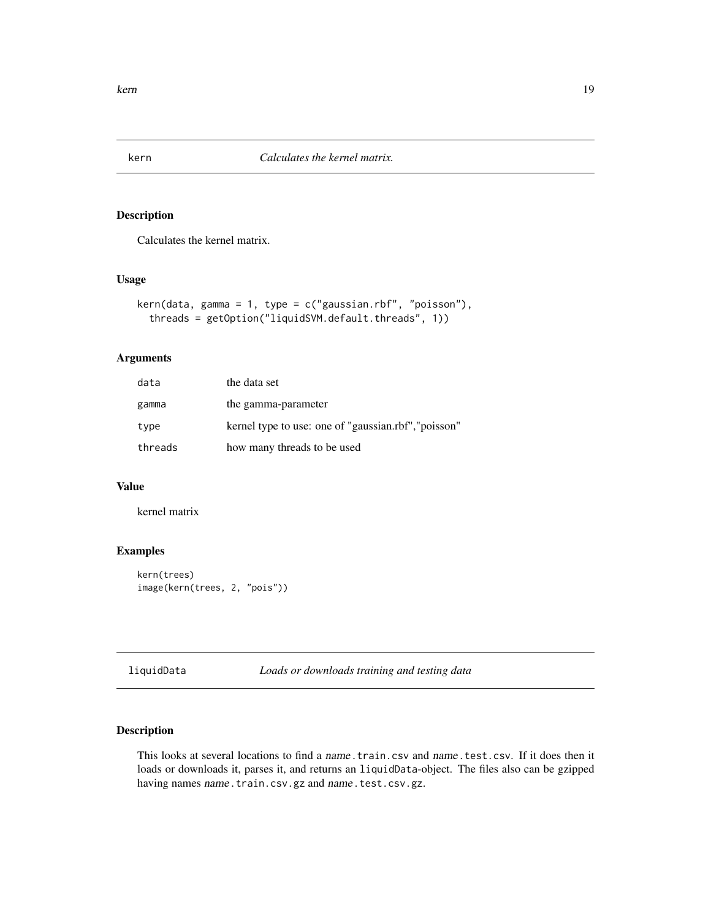<span id="page-18-1"></span><span id="page-18-0"></span>

#### Description

Calculates the kernel matrix.

#### Usage

```
kern(data, gamma = 1, type = c("gaussian.rbf", "poisson"),
  threads = getOption("liquidSVM.default.threads", 1))
```
### Arguments

| data    | the data set                                         |
|---------|------------------------------------------------------|
| gamma   | the gamma-parameter                                  |
| type    | kernel type to use: one of "gaussian.rbf", "poisson" |
| threads | how many threads to be used                          |

#### Value

kernel matrix

#### Examples

```
kern(trees)
image(kern(trees, 2, "pois"))
```
<span id="page-18-2"></span>liquidData *Loads or downloads training and testing data*

#### <span id="page-18-3"></span>Description

This looks at several locations to find a name.train.csv and name.test.csv. If it does then it loads or downloads it, parses it, and returns an liquidData-object. The files also can be gzipped having names name.train.csv.gz and name.test.csv.gz.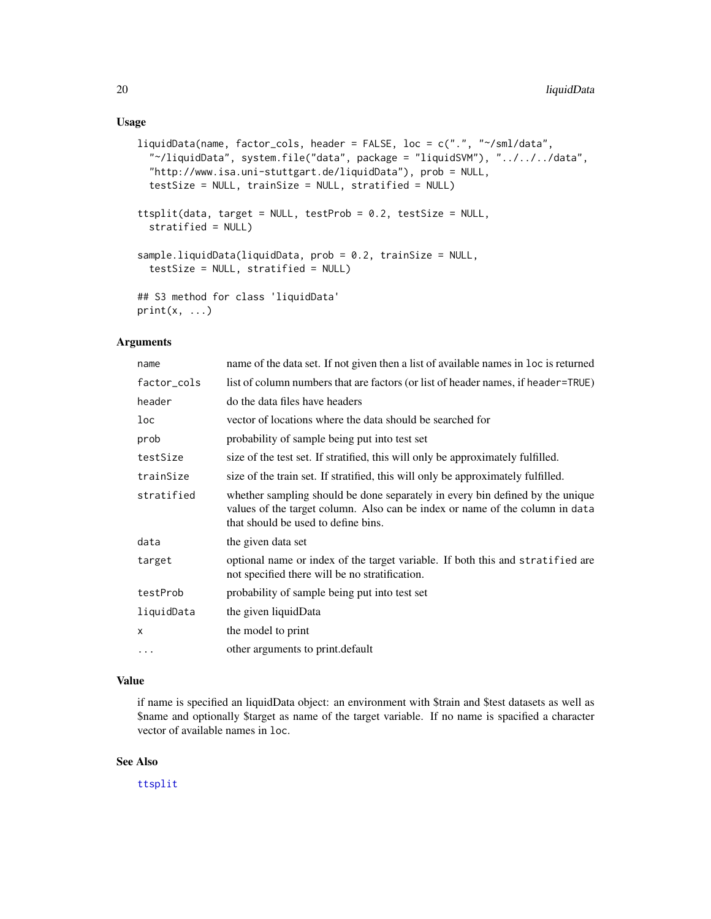#### <span id="page-19-0"></span>Usage

```
liquidData(name, factor_cols, header = FALSE, loc = c(".", "~/sml/data",
 "~/liquidData", system.file("data", package = "liquidSVM"), "../../../data",
 "http://www.isa.uni-stuttgart.de/liquidData"), prob = NULL,
  testSize = NULL, trainSize = NULL, stratified = NULL)
ttsplit(data, target = NULL, testProb = 0.2, testSize = NULL,
  stratified = NULL)
sample.liquidData(liquidData, prob = 0.2, trainSize = NULL,
 testSize = NULL, stratified = NULL)
## S3 method for class 'liquidData'
print(x, \ldots)
```
#### Arguments

| name        | name of the data set. If not given then a list of available names in loc is returned                                                                                                                 |
|-------------|------------------------------------------------------------------------------------------------------------------------------------------------------------------------------------------------------|
| factor_cols | list of column numbers that are factors (or list of header names, if header=TRUE)                                                                                                                    |
| header      | do the data files have headers                                                                                                                                                                       |
| loc         | vector of locations where the data should be searched for                                                                                                                                            |
| prob        | probability of sample being put into test set                                                                                                                                                        |
| testSize    | size of the test set. If stratified, this will only be approximately fulfilled.                                                                                                                      |
| trainSize   | size of the train set. If stratified, this will only be approximately fulfilled.                                                                                                                     |
| stratified  | whether sampling should be done separately in every bin defined by the unique<br>values of the target column. Also can be index or name of the column in data<br>that should be used to define bins. |
| data        | the given data set                                                                                                                                                                                   |
| target      | optional name or index of the target variable. If both this and stratified are<br>not specified there will be no stratification.                                                                     |
| testProb    | probability of sample being put into test set                                                                                                                                                        |
| liquidData  | the given liquidData                                                                                                                                                                                 |
| x           | the model to print                                                                                                                                                                                   |
| $\cdots$    | other arguments to print. default                                                                                                                                                                    |

#### Value

if name is specified an liquidData object: an environment with \$train and \$test datasets as well as \$name and optionally \$target as name of the target variable. If no name is spacified a character vector of available names in loc.

#### See Also

[ttsplit](#page-18-3)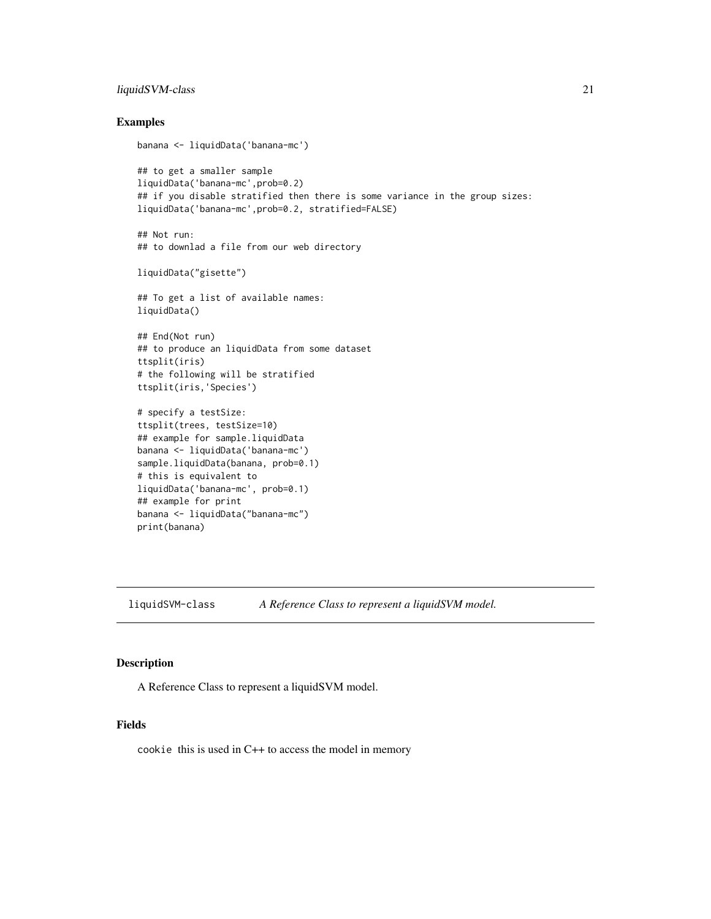#### <span id="page-20-0"></span>liquidSVM-class 21

#### Examples

```
banana <- liquidData('banana-mc')
```

```
## to get a smaller sample
liquidData('banana-mc',prob=0.2)
## if you disable stratified then there is some variance in the group sizes:
liquidData('banana-mc',prob=0.2, stratified=FALSE)
```

```
## Not run:
## to downlad a file from our web directory
```
liquidData("gisette")

## To get a list of available names: liquidData()

## End(Not run) ## to produce an liquidData from some dataset ttsplit(iris) # the following will be stratified ttsplit(iris,'Species')

```
# specify a testSize:
ttsplit(trees, testSize=10)
## example for sample.liquidData
banana <- liquidData('banana-mc')
sample.liquidData(banana, prob=0.1)
# this is equivalent to
liquidData('banana-mc', prob=0.1)
## example for print
banana <- liquidData("banana-mc")
print(banana)
```
liquidSVM-class *A Reference Class to represent a liquidSVM model.*

#### Description

A Reference Class to represent a liquidSVM model.

#### Fields

cookie this is used in C++ to access the model in memory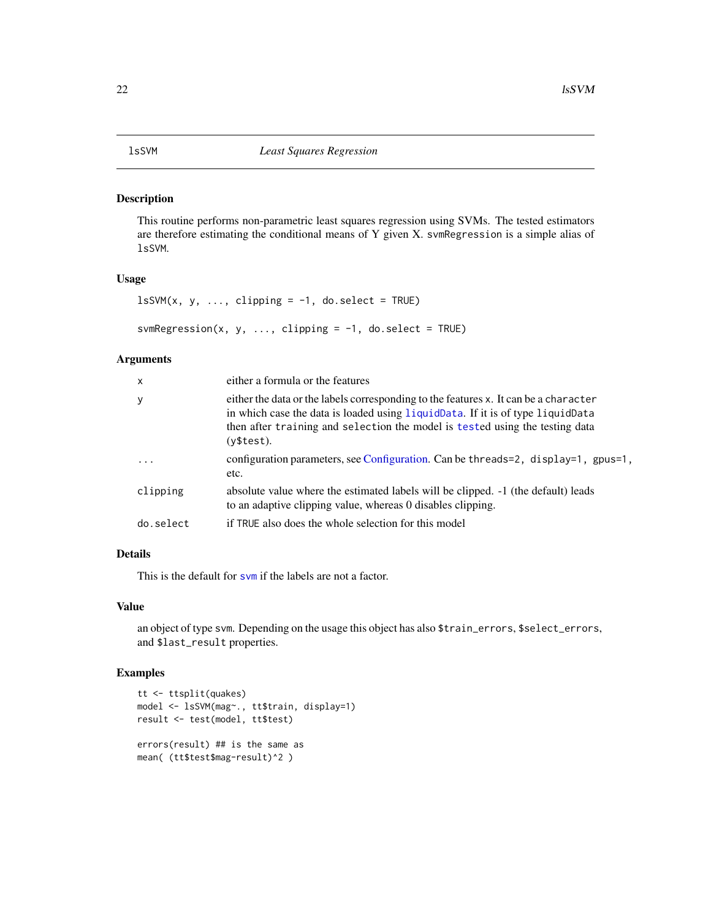#### <span id="page-21-1"></span><span id="page-21-0"></span>Description

This routine performs non-parametric least squares regression using SVMs. The tested estimators are therefore estimating the conditional means of Y given X. svmRegression is a simple alias of lsSVM.

#### Usage

```
lSSVM(x, y, ..., clipping = -1, do.sleepct = TRUE)svmRegression(x, y, ..., clipping = -1, do.sleepct = TRUE)
```
#### Arguments

| $\boldsymbol{\mathsf{x}}$ | either a formula or the features                                                                                                                                                                                                                                     |
|---------------------------|----------------------------------------------------------------------------------------------------------------------------------------------------------------------------------------------------------------------------------------------------------------------|
| У                         | either the data or the labels corresponding to the features x. It can be a character<br>in which case the data is loaded using liquidData. If it is of type liquidData<br>then after training and selection the model is tested using the testing data<br>(v\$test). |
| $\ddots$                  | configuration parameters, see Configuration. Can be threads=2, display=1, gpus=1,<br>etc.                                                                                                                                                                            |
| clipping                  | absolute value where the estimated labels will be clipped. $-1$ (the default) leads<br>to an adaptive clipping value, whereas 0 disables clipping.                                                                                                                   |
| do.select                 | if TRUE also does the whole selection for this model                                                                                                                                                                                                                 |
|                           |                                                                                                                                                                                                                                                                      |

#### Details

This is the default for sym if the labels are not a factor.

#### Value

an object of type svm. Depending on the usage this object has also \$train\_errors, \$select\_errors, and \$last\_result properties.

#### Examples

```
tt <- ttsplit(quakes)
model <- lsSVM(mag~., tt$train, display=1)
result <- test(model, tt$test)
errors(result) ## is the same as
mean( (tt$test$mag-result)^2 )
```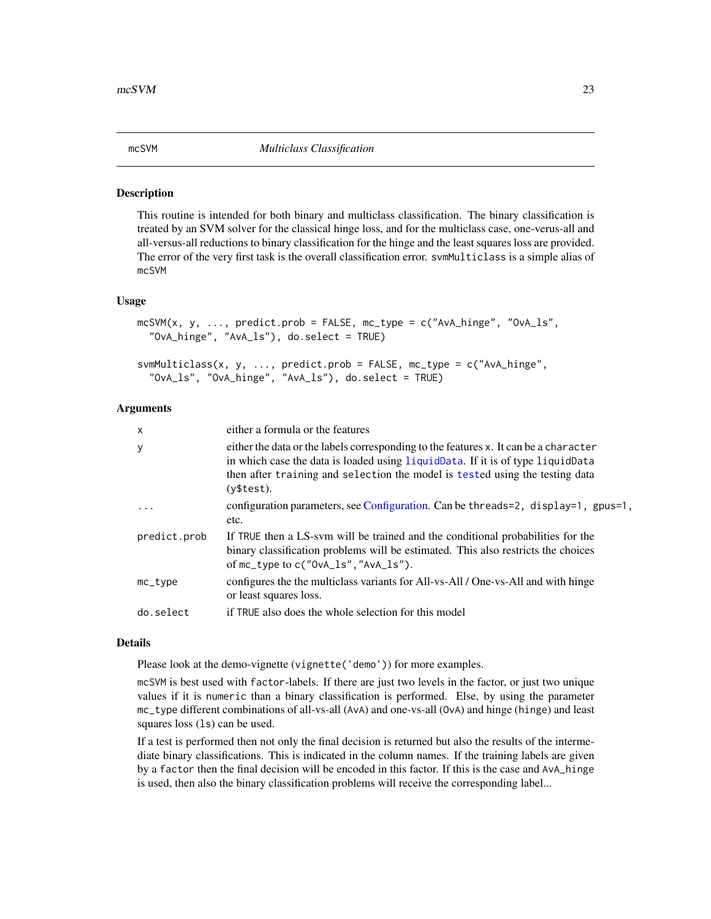<span id="page-22-1"></span><span id="page-22-0"></span>

#### Description

This routine is intended for both binary and multiclass classification. The binary classification is treated by an SVM solver for the classical hinge loss, and for the multiclass case, one-verus-all and all-versus-all reductions to binary classification for the hinge and the least squares loss are provided. The error of the very first task is the overall classification error. svmMulticlass is a simple alias of mcSVM

#### Usage

```
mcSVM(x, y, ..., predict.prob = FALSE, mc_type = c("AvA_hinge", "OvA_ls","OvA_hinge", "AvA_ls"), do.select = TRUE)
```

```
svmMulticlass(x, y, ..., predict.prob = FALSE, mc_type = c("AvA_hinge",
 "OvA_ls", "OvA_hinge", "AvA_ls"), do.select = TRUE)
```
#### Arguments

| $\mathsf{x}$      | either a formula or the features                                                                                                                                                                                                                                     |
|-------------------|----------------------------------------------------------------------------------------------------------------------------------------------------------------------------------------------------------------------------------------------------------------------|
| У                 | either the data or the labels corresponding to the features x. It can be a character<br>in which case the data is loaded using liquidData. If it is of type liquidData<br>then after training and selection the model is tested using the testing data<br>(v\$test). |
| $\cdot$           | configuration parameters, see Configuration. Can be threads=2, display=1, gpus=1,<br>etc.                                                                                                                                                                            |
| predict.prob      | If TRUE then a LS-sym will be trained and the conditional probabilities for the<br>binary classification problems will be estimated. This also restricts the choices<br>of $mc_{\perp}$ type to c("OvA $\perp$ ls", "AvA $\perp$ ls").                               |
| $mc_{\perp}$ type | configures the the multiclass variants for All-vs-All / One-vs-All and with hinge<br>or least squares loss.                                                                                                                                                          |
| do.select         | if TRUE also does the whole selection for this model                                                                                                                                                                                                                 |

#### Details

Please look at the demo-vignette (vignette ('demo')) for more examples.

mcSVM is best used with factor-labels. If there are just two levels in the factor, or just two unique values if it is numeric than a binary classification is performed. Else, by using the parameter mc\_type different combinations of all-vs-all (AvA) and one-vs-all (OvA) and hinge (hinge) and least squares loss (1s) can be used.

If a test is performed then not only the final decision is returned but also the results of the intermediate binary classifications. This is indicated in the column names. If the training labels are given by a factor then the final decision will be encoded in this factor. If this is the case and AvA\_hinge is used, then also the binary classification problems will receive the corresponding label...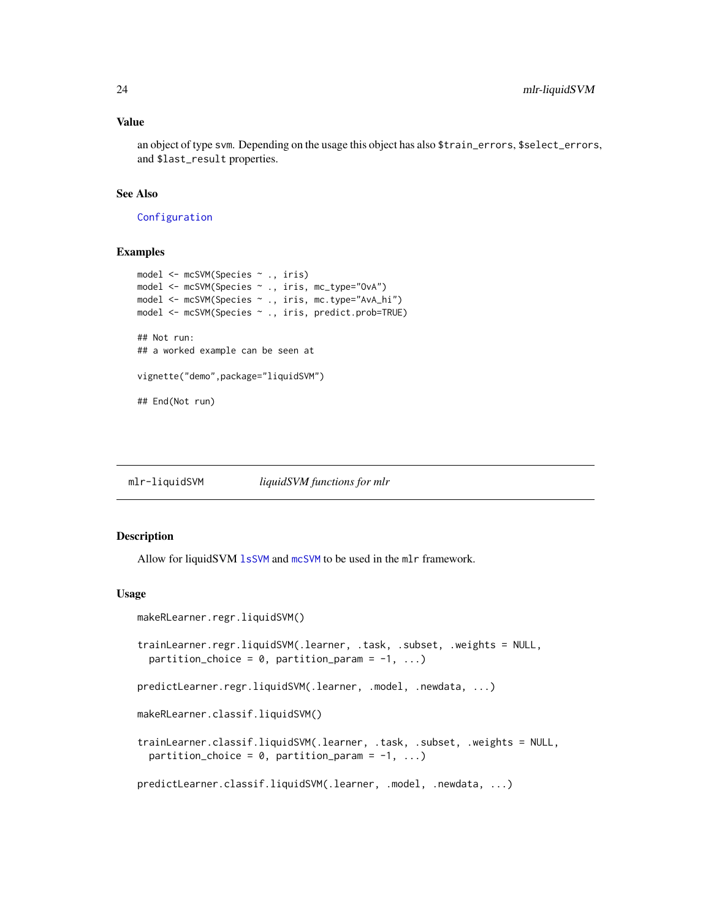#### <span id="page-23-0"></span>Value

an object of type svm. Depending on the usage this object has also \$train\_errors, \$select\_errors, and \$last\_result properties.

#### See Also

[Configuration](#page-7-1)

#### Examples

```
model <- mcSVM(Species ~ ., iris)
model <- mcSVM(Species ~ ., iris, mc_type="OvA")
model <- mcSVM(Species ~ ., iris, mc.type="AvA_hi")
model <- mcSVM(Species ~ ., iris, predict.prob=TRUE)
## Not run:
## a worked example can be seen at
vignette("demo",package="liquidSVM")
## End(Not run)
```
mlr-liquidSVM *liquidSVM functions for mlr*

#### **Description**

Allow for liquidSVM [lsSVM](#page-21-1) and [mcSVM](#page-22-1) to be used in the mlr framework.

#### Usage

```
makeRLearner.regr.liquidSVM()
trainLearner.regr.liquidSVM(.learner, .task, .subset, .weights = NULL,
 partition_choice = 0, partition_param = -1, ...)
predictLearner.regr.liquidSVM(.learner, .model, .newdata, ...)
makeRLearner.classif.liquidSVM()
trainLearner.classif.liquidSVM(.learner, .task, .subset, .weights = NULL,
 partition_choice = 0, partition_param = -1, ...)
predictLearner.classif.liquidSVM(.learner, .model, .newdata, ...)
```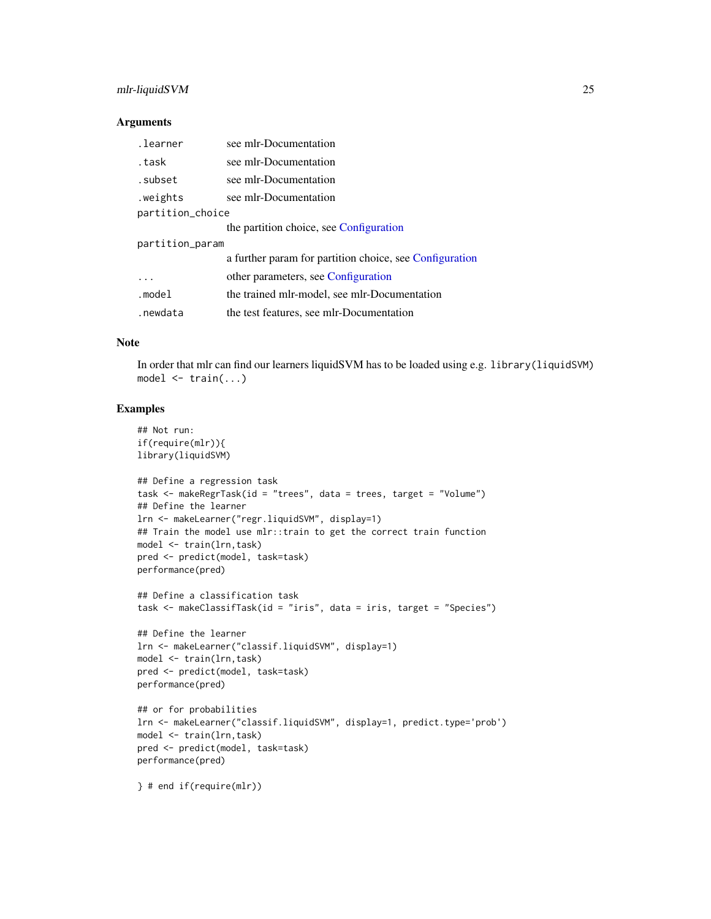#### mlr-liquidSVM 25

#### **Arguments**

| .learner         | see mlr-Documentation                                   |  |
|------------------|---------------------------------------------------------|--|
| .task            | see mlr-Documentation                                   |  |
| .subset          | see mlr-Documentation                                   |  |
| weights.         | see mlr-Documentation                                   |  |
| partition_choice |                                                         |  |
|                  | the partition choice, see Configuration                 |  |
| partition_param  |                                                         |  |
|                  | a further param for partition choice, see Configuration |  |
| .                | other parameters, see Configuration                     |  |
| .model           | the trained mlr-model, see mlr-Documentation            |  |
| .newdata         | the test features, see mlr-Documentation                |  |

#### Note

In order that mlr can find our learners liquidSVM has to be loaded using e.g. library(liquidSVM) model <- train(...)

#### Examples

```
## Not run:
if(require(mlr)){
library(liquidSVM)
## Define a regression task
task <- makeRegrTask(id = "trees", data = trees, target = "Volume")
## Define the learner
lrn <- makeLearner("regr.liquidSVM", display=1)
## Train the model use mlr::train to get the correct train function
model <- train(lrn,task)
pred <- predict(model, task=task)
performance(pred)
## Define a classification task
task <- makeClassifTask(id = "iris", data = iris, target = "Species")
## Define the learner
lrn <- makeLearner("classif.liquidSVM", display=1)
model <- train(lrn,task)
pred <- predict(model, task=task)
performance(pred)
## or for probabilities
lrn <- makeLearner("classif.liquidSVM", display=1, predict.type='prob')
model <- train(lrn,task)
pred <- predict(model, task=task)
performance(pred)
} # end if(require(mlr))
```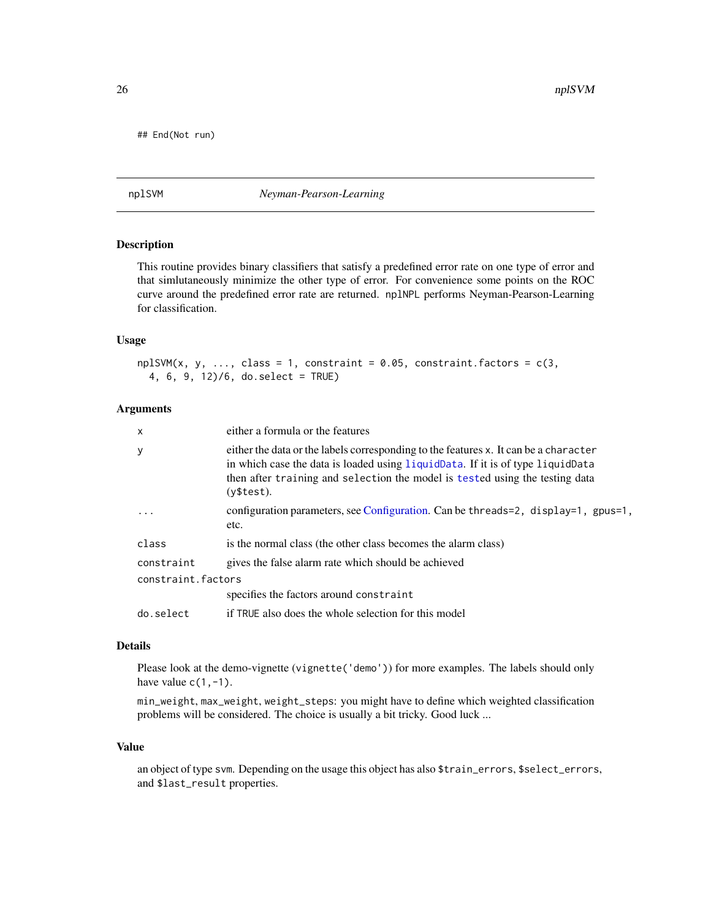<span id="page-25-0"></span>## End(Not run)

<span id="page-25-1"></span>nplSVM *Neyman-Pearson-Learning*

#### Description

This routine provides binary classifiers that satisfy a predefined error rate on one type of error and that simlutaneously minimize the other type of error. For convenience some points on the ROC curve around the predefined error rate are returned. nplNPL performs Neyman-Pearson-Learning for classification.

#### Usage

```
npISVM(x, y, ..., class = 1, constraint = 0.05, constraint.factors = c(3,4, 6, 9, 12)/6, do.select = TRUE)
```
### Arguments

| X                  | either a formula or the features                                                                                                                                                                                                                                     |  |
|--------------------|----------------------------------------------------------------------------------------------------------------------------------------------------------------------------------------------------------------------------------------------------------------------|--|
| У                  | either the data or the labels corresponding to the features x. It can be a character<br>in which case the data is loaded using liquidData. If it is of type liquidData<br>then after training and selection the model is tested using the testing data<br>(y\$test). |  |
| .                  | configuration parameters, see Configuration. Can be threads=2, display=1, gpus=1,<br>etc.                                                                                                                                                                            |  |
| class              | is the normal class (the other class becomes the alarm class)                                                                                                                                                                                                        |  |
| constraint         | gives the false alarm rate which should be achieved                                                                                                                                                                                                                  |  |
| constraint.factors |                                                                                                                                                                                                                                                                      |  |
|                    | specifies the factors around constraint                                                                                                                                                                                                                              |  |
| do.select          | if TRUE also does the whole selection for this model                                                                                                                                                                                                                 |  |
|                    |                                                                                                                                                                                                                                                                      |  |

### Details

Please look at the demo-vignette (vignette('demo')) for more examples. The labels should only have value  $c(1,-1)$ .

min\_weight, max\_weight, weight\_steps: you might have to define which weighted classification problems will be considered. The choice is usually a bit tricky. Good luck ...

#### Value

an object of type svm. Depending on the usage this object has also \$train\_errors, \$select\_errors, and \$last\_result properties.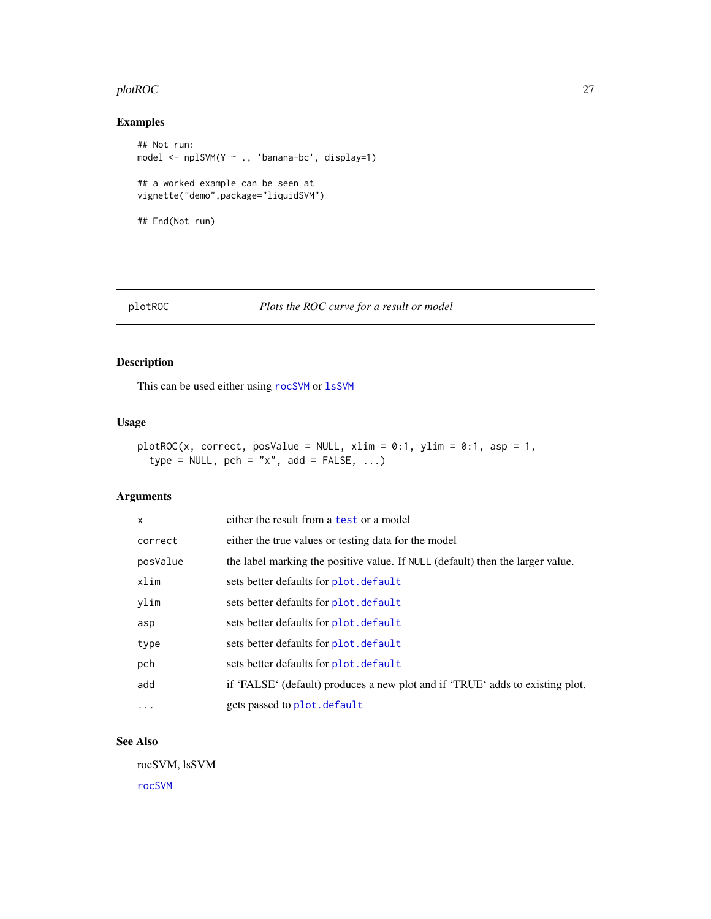#### <span id="page-26-0"></span>plotROC 27

### Examples

```
## Not run:
model <- nplSVM(Y ~ ., 'banana-bc', display=1)
## a worked example can be seen at
vignette("demo",package="liquidSVM")
## End(Not run)
```
#### <span id="page-26-1"></span>plotROC *Plots the ROC curve for a result or model*

#### Description

This can be used either using [rocSVM](#page-31-1) or [lsSVM](#page-21-1)

#### Usage

```
plotROC(x, correct, posValue = NULL, xlim = 0:1, ylim = 0:1, asp = 1,type = NULL, pch = "x", add = FALSE, ...)
```
#### Arguments

| $\mathsf{x}$ | either the result from a test or a model                                       |
|--------------|--------------------------------------------------------------------------------|
| correct      | either the true values or testing data for the model                           |
| posValue     | the label marking the positive value. If NULL (default) then the larger value. |
| xlim         | sets better defaults for plot. default                                         |
| ylim         | sets better defaults for plot. default                                         |
| asp          | sets better defaults for plot. default                                         |
| type         | sets better defaults for plot. default                                         |
| pch          | sets better defaults for plot. default                                         |
| add          | if 'FALSE' (default) produces a new plot and if 'TRUE' adds to existing plot.  |
| $\ddotsc$    | gets passed to plot. default                                                   |

#### See Also

rocSVM, lsSVM [rocSVM](#page-31-1)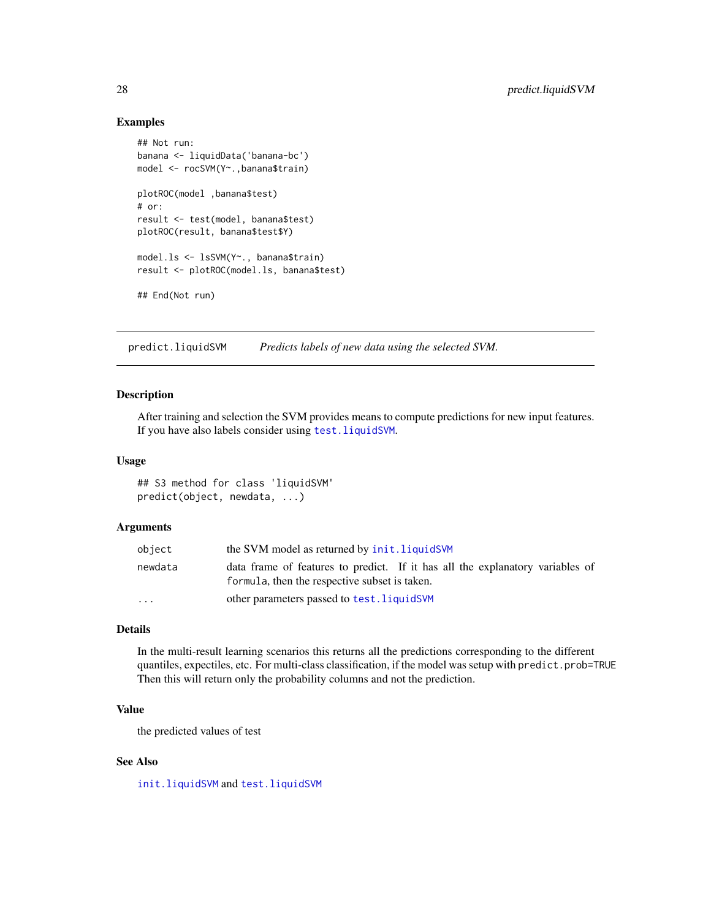#### <span id="page-27-0"></span>Examples

```
## Not run:
banana <- liquidData('banana-bc')
model <- rocSVM(Y~.,banana$train)
plotROC(model ,banana$test)
# or:
result <- test(model, banana$test)
plotROC(result, banana$test$Y)
model.ls <- lsSVM(Y~., banana$train)
result <- plotROC(model.ls, banana$test)
## End(Not run)
```
<span id="page-27-1"></span>predict.liquidSVM *Predicts labels of new data using the selected SVM.*

#### Description

After training and selection the SVM provides means to compute predictions for new input features. If you have also labels consider using [test.liquidSVM](#page-36-1).

#### Usage

## S3 method for class 'liquidSVM' predict(object, newdata, ...)

#### Arguments

| object                  | the SVM model as returned by init. liquidSVM                                                                                   |  |
|-------------------------|--------------------------------------------------------------------------------------------------------------------------------|--|
| newdata                 | data frame of features to predict. If it has all the explanatory variables of<br>formula, then the respective subset is taken. |  |
| $\cdot$ $\cdot$ $\cdot$ | other parameters passed to test. liquidSVM                                                                                     |  |

#### Details

In the multi-result learning scenarios this returns all the predictions corresponding to the different quantiles, expectiles, etc. For multi-class classification, if the model was setup with predict.prob=TRUE Then this will return only the probability columns and not the prediction.

#### Value

the predicted values of test

#### See Also

[init.liquidSVM](#page-16-1) and [test.liquidSVM](#page-36-1)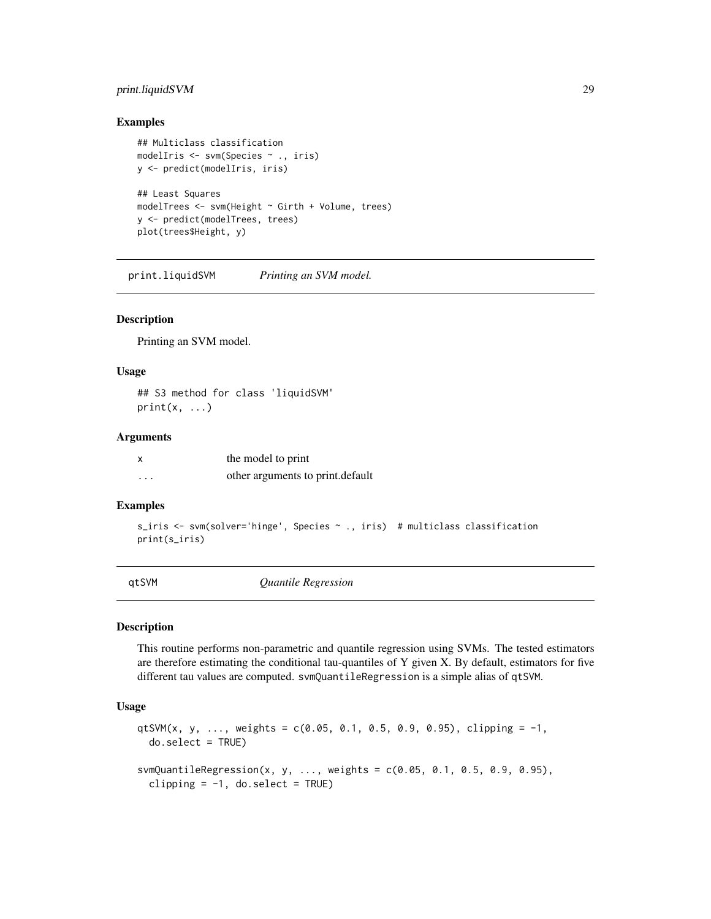### <span id="page-28-0"></span>print.liquidSVM 29

#### Examples

```
## Multiclass classification
modelIris <- svm(Species ~ ., iris)
y <- predict(modelIris, iris)
## Least Squares
modelTrees <- svm(Height ~ Girth + Volume, trees)
y <- predict(modelTrees, trees)
plot(trees$Height, y)
```
print.liquidSVM *Printing an SVM model.*

#### Description

Printing an SVM model.

#### Usage

## S3 method for class 'liquidSVM'  $print(x, \ldots)$ 

#### **Arguments**

|   | the model to print               |
|---|----------------------------------|
| . | other arguments to print.default |

#### Examples

```
s_iris <- svm(solver='hinge', Species ~ ., iris) # multiclass classification
print(s_iris)
```
<span id="page-28-1"></span>qtSVM *Quantile Regression*

#### Description

This routine performs non-parametric and quantile regression using SVMs. The tested estimators are therefore estimating the conditional tau-quantiles of Y given X. By default, estimators for five different tau values are computed. svmQuantileRegression is a simple alias of qtSVM.

#### Usage

```
qtSVM(x, y, ..., weights = c(0.05, 0.1, 0.5, 0.9, 0.95), clipping = -1,
 do.select = TRUE)
svmQuantileRegression(x, y, ..., weights = c(0.05, 0.1, 0.5, 0.9, 0.95),
 clipping = -1, do.select = TRUE)
```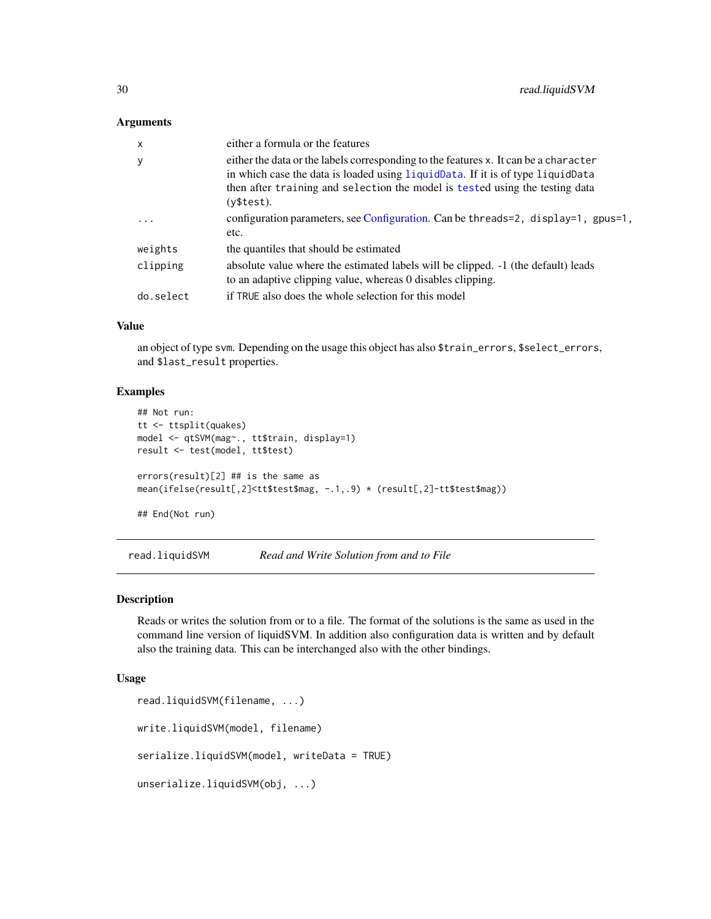#### <span id="page-29-0"></span>**Arguments**

| $\mathsf{x}$ | either a formula or the features                                                                                                                                                                                                                                     |
|--------------|----------------------------------------------------------------------------------------------------------------------------------------------------------------------------------------------------------------------------------------------------------------------|
| y            | either the data or the labels corresponding to the features x. It can be a character<br>in which case the data is loaded using liquidData. If it is of type liquidData<br>then after training and selection the model is tested using the testing data<br>(v\$test). |
| .            | configuration parameters, see Configuration. Can be threads=2, display=1, gpus=1,<br>etc.                                                                                                                                                                            |
| weights      | the quantiles that should be estimated                                                                                                                                                                                                                               |
| clipping     | absolute value where the estimated labels will be clipped. $-1$ (the default) leads<br>to an adaptive clipping value, whereas 0 disables clipping.                                                                                                                   |
| do.select    | if TRUE also does the whole selection for this model                                                                                                                                                                                                                 |
|              |                                                                                                                                                                                                                                                                      |

## Value

an object of type svm. Depending on the usage this object has also \$train\_errors, \$select\_errors, and \$last\_result properties.

#### Examples

```
## Not run:
tt <- ttsplit(quakes)
model <- qtSVM(mag~., tt$train, display=1)
result <- test(model, tt$test)
errors(result)[2] ## is the same as
mean(ifelse(result[,2]<tt$test$mag, -.1,.9) * (result[,2]-tt$test$mag))
```
## End(Not run)

read.liquidSVM *Read and Write Solution from and to File*

#### <span id="page-29-1"></span>Description

Reads or writes the solution from or to a file. The format of the solutions is the same as used in the command line version of liquidSVM. In addition also configuration data is written and by default also the training data. This can be interchanged also with the other bindings.

#### Usage

```
read.liquidSVM(filename, ...)
write.liquidSVM(model, filename)
serialize.liquidSVM(model, writeData = TRUE)
unserialize.liquidSVM(obj, ...)
```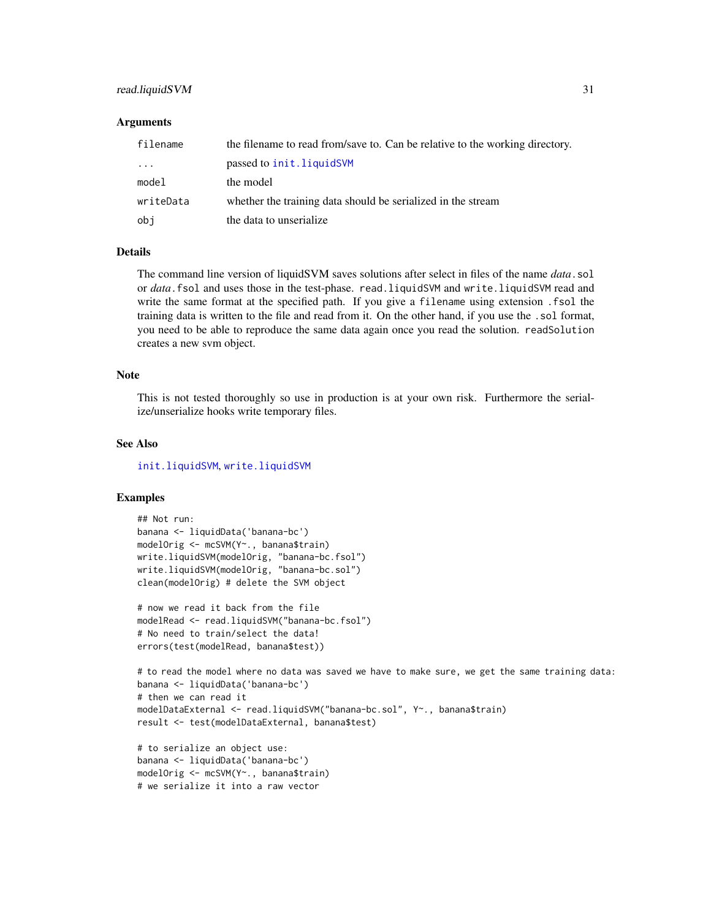#### <span id="page-30-0"></span>read.liquidSVM 31

#### **Arguments**

| filename  | the filename to read from/save to. Can be relative to the working directory. |
|-----------|------------------------------------------------------------------------------|
| $\cdots$  | passed to init.liquidSVM                                                     |
| model     | the model                                                                    |
| writeData | whether the training data should be serialized in the stream                 |
| obj       | the data to unserialize.                                                     |

#### **Details**

The command line version of liquidSVM saves solutions after select in files of the name *data*.sol or *data*.fsol and uses those in the test-phase. read.liquidSVM and write.liquidSVM read and write the same format at the specified path. If you give a filename using extension .fsol the training data is written to the file and read from it. On the other hand, if you use the .sol format, you need to be able to reproduce the same data again once you read the solution. readSolution creates a new svm object.

#### Note

This is not tested thoroughly so use in production is at your own risk. Furthermore the serialize/unserialize hooks write temporary files.

#### See Also

[init.liquidSVM](#page-16-1), [write.liquidSVM](#page-29-1)

#### Examples

```
## Not run:
banana <- liquidData('banana-bc')
modelOrig <- mcSVM(Y~., banana$train)
write.liquidSVM(modelOrig, "banana-bc.fsol")
write.liquidSVM(modelOrig, "banana-bc.sol")
clean(modelOrig) # delete the SVM object
```

```
# now we read it back from the file
modelRead <- read.liquidSVM("banana-bc.fsol")
# No need to train/select the data!
errors(test(modelRead, banana$test))
```

```
# to read the model where no data was saved we have to make sure, we get the same training data:
banana <- liquidData('banana-bc')
# then we can read it
modelDataExternal <- read.liquidSVM("banana-bc.sol", Y~., banana$train)
result <- test(modelDataExternal, banana$test)
```

```
# to serialize an object use:
banana <- liquidData('banana-bc')
modelOrig <- mcSVM(Y~., banana$train)
# we serialize it into a raw vector
```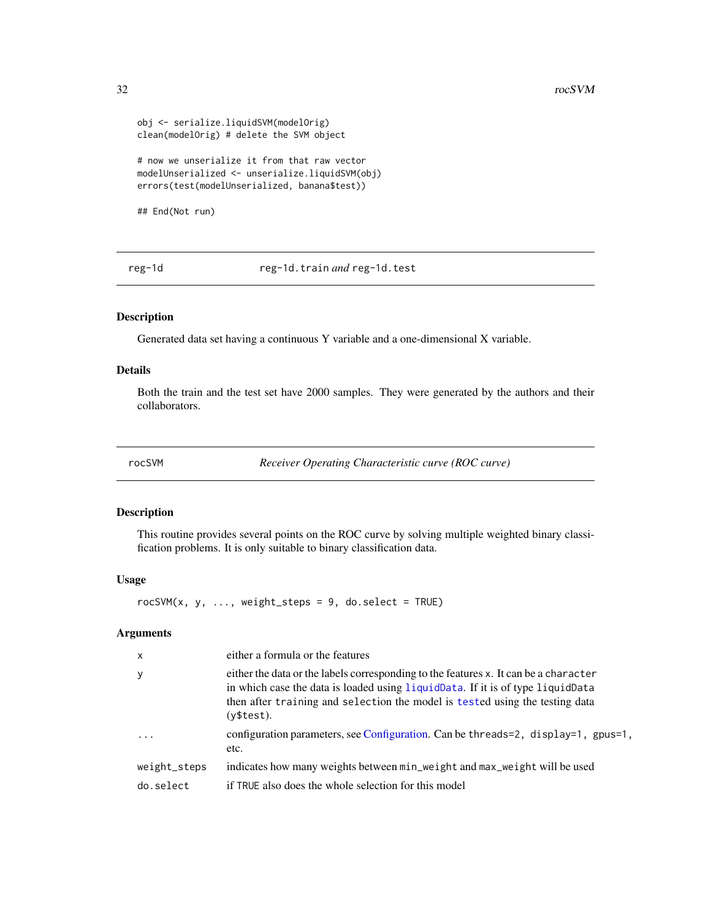```
obj <- serialize.liquidSVM(modelOrig)
clean(modelOrig) # delete the SVM object
# now we unserialize it from that raw vector
modelUnserialized <- unserialize.liquidSVM(obj)
errors(test(modelUnserialized, banana$test))
```
## End(Not run)

reg-1d reg-1d.train *and* reg-1d.test

#### Description

Generated data set having a continuous Y variable and a one-dimensional X variable.

#### Details

Both the train and the test set have 2000 samples. They were generated by the authors and their collaborators.

<span id="page-31-1"></span>rocSVM *Receiver Operating Characteristic curve (ROC curve)*

#### Description

This routine provides several points on the ROC curve by solving multiple weighted binary classification problems. It is only suitable to binary classification data.

#### Usage

 $rocSWM(x, y, ..., weight\_steps = 9, do.select = TRUE)$ 

#### Arguments

| $\boldsymbol{\mathsf{x}}$ | either a formula or the features                                                                                                                                                                                                                                     |
|---------------------------|----------------------------------------------------------------------------------------------------------------------------------------------------------------------------------------------------------------------------------------------------------------------|
| y                         | either the data or the labels corresponding to the features x. It can be a character<br>in which case the data is loaded using liquidData. If it is of type liquidData<br>then after training and selection the model is tested using the testing data<br>(y\$test). |
| $\cdots$                  | configuration parameters, see Configuration. Can be threads=2, display=1, gpus=1,<br>etc.                                                                                                                                                                            |
| weight_steps              | indicates how many weights between min_weight and max_weight will be used                                                                                                                                                                                            |
| do.select                 | if TRUE also does the whole selection for this model                                                                                                                                                                                                                 |

<span id="page-31-0"></span>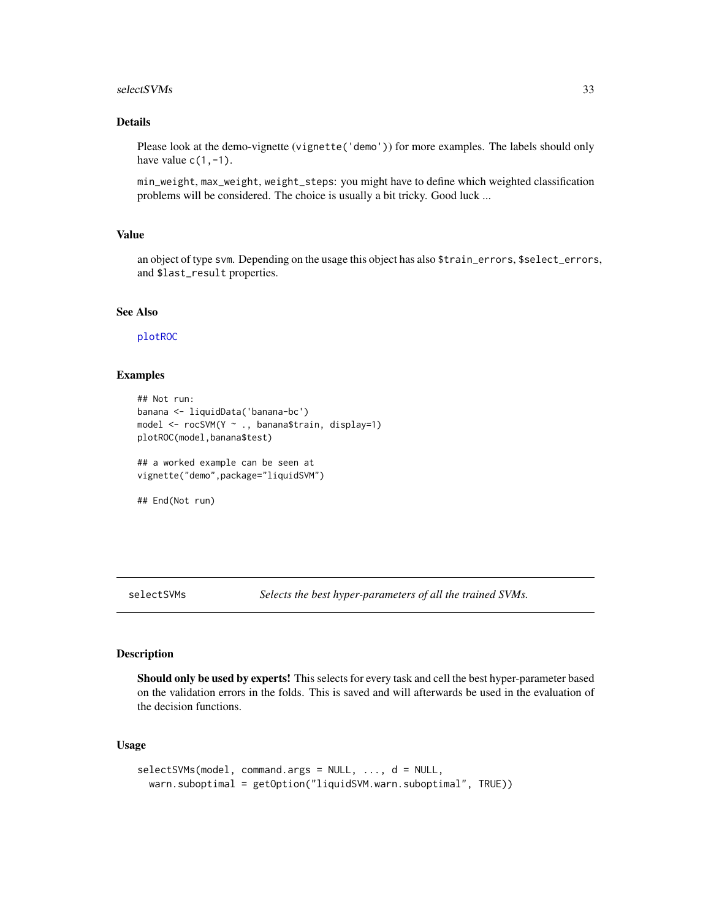#### <span id="page-32-0"></span> $s$ electSVMs  $33$

#### Details

Please look at the demo-vignette (vignette('demo')) for more examples. The labels should only have value  $c(1,-1)$ .

min\_weight, max\_weight, weight\_steps: you might have to define which weighted classification problems will be considered. The choice is usually a bit tricky. Good luck ...

#### Value

an object of type svm. Depending on the usage this object has also \$train\_errors, \$select\_errors, and \$last\_result properties.

#### See Also

[plotROC](#page-26-1)

#### Examples

```
## Not run:
banana <- liquidData('banana-bc')
model <- rocSVM(Y ~ ., banana$train, display=1)
plotROC(model,banana$test)
## a worked example can be seen at
vignette("demo",package="liquidSVM")
```

```
## End(Not run)
```
<span id="page-32-1"></span>selectSVMs *Selects the best hyper-parameters of all the trained SVMs.*

#### Description

Should only be used by experts! This selects for every task and cell the best hyper-parameter based on the validation errors in the folds. This is saved and will afterwards be used in the evaluation of the decision functions.

#### Usage

```
selectSVMs(model, command.args = NULL, ..., d = NULL,
 warn.suboptimal = getOption("liquidSVM.warn.suboptimal", TRUE))
```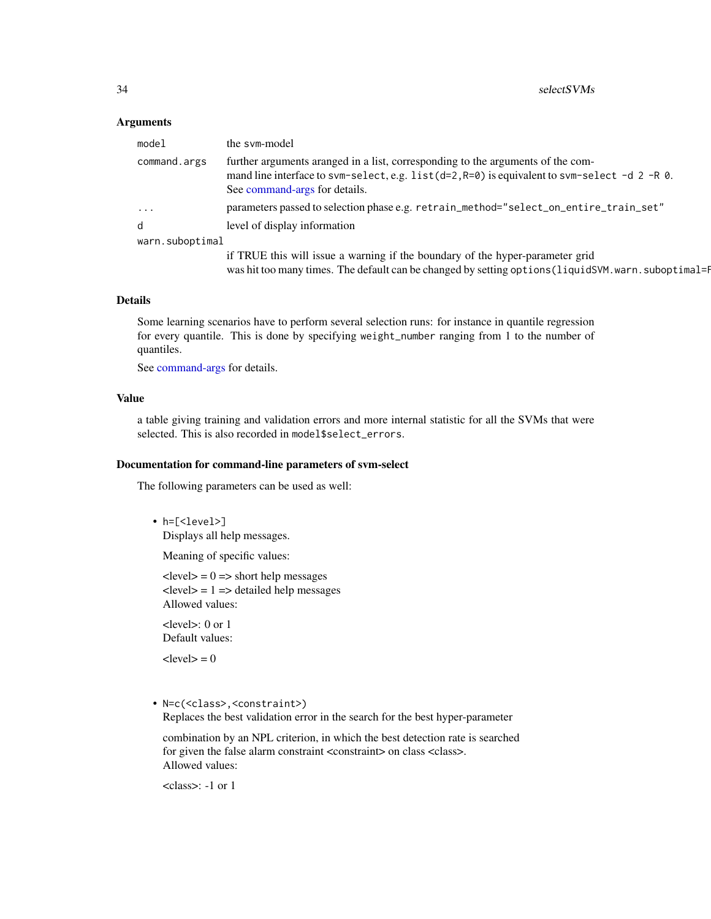#### <span id="page-33-0"></span>**Arguments**

| model           | the sym-model                                                                                                                                                                                                       |
|-----------------|---------------------------------------------------------------------------------------------------------------------------------------------------------------------------------------------------------------------|
| command.args    | further arguments aranged in a list, corresponding to the arguments of the com-<br>mand line interface to svm-select, e.g. $list(d=2, R=0)$ is equivalent to svm-select -d 2 -R 0.<br>See command-args for details. |
| $\ddotsc$       | parameters passed to selection phase e.g. retrain_method="select_on_entire_train_set"                                                                                                                               |
| d               | level of display information                                                                                                                                                                                        |
| warn.suboptimal |                                                                                                                                                                                                                     |
|                 | if TRUE this will issue a warning if the boundary of the hyper-parameter grid<br>was hit too many times. The default can be changed by setting options (liquidSVM. warn. suboptimal=1                               |

#### Details

Some learning scenarios have to perform several selection runs: for instance in quantile regression for every quantile. This is done by specifying weight\_number ranging from 1 to the number of quantiles.

See [command-args](#page-6-1) for details.

#### Value

a table giving training and validation errors and more internal statistic for all the SVMs that were selected. This is also recorded in model\$select\_errors.

#### Documentation for command-line parameters of svm-select

The following parameters can be used as well:

• h=[<level>] Displays all help messages.

Meaning of specific values:

 $\text{<}$ level $\text{>}$  = 0 =  $\text{>}$  short help messages  $\text{<}$ level $\text{>}$  = 1 =  $\text{=}$  detailed help messages Allowed values:

<level>: 0 or 1 Default values:

 $<$ level $>$  = 0

• N=c(<class>,<constraint>)

Replaces the best validation error in the search for the best hyper-parameter

combination by an NPL criterion, in which the best detection rate is searched for given the false alarm constraint <constraint> on class <class>. Allowed values:

<class>: -1 or 1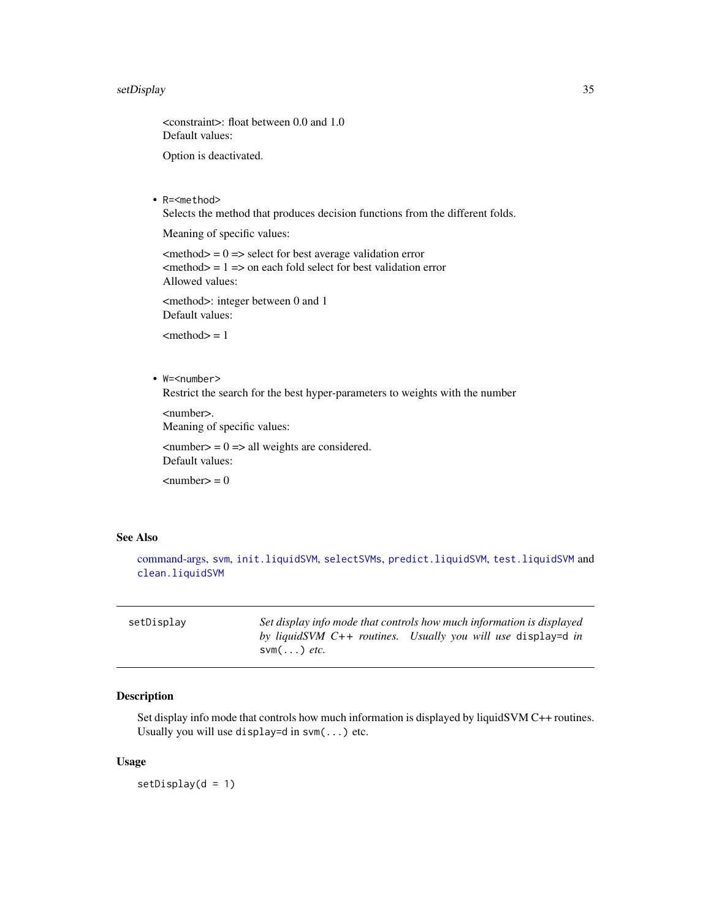#### <span id="page-34-0"></span>setDisplay 35

<constraint>: float between 0.0 and 1.0 Default values:

Option is deactivated.

• R=<method>

Selects the method that produces decision functions from the different folds.

Meaning of specific values:

 $\epsilon$  = 0 = > select for best average validation error  $\epsilon$  = 1 = > on each fold select for best validation error Allowed values:

<method>: integer between 0 and 1 Default values:

 $<$ method $>$  = 1

• W=<number>

Restrict the search for the best hyper-parameters to weights with the number

<number>. Meaning of specific values:

 $\langle$ number $\rangle$  = 0 = > all weights are considered. Default values:

 $\langle$ number $\rangle = 0$ 

#### See Also

[command-args,](#page-6-1) [svm](#page-35-1), [init.liquidSVM](#page-16-1), [selectSVMs](#page-32-1), [predict.liquidSVM](#page-27-1), [test.liquidSVM](#page-36-1) and [clean.liquidSVM](#page-5-2)

| setDisplay | Set display info mode that controls how much information is displayed |
|------------|-----------------------------------------------------------------------|
|            | by liquidSVM $C++$ routines. Usually you will use display=d in        |
|            | $\textsf{sym}(\dots)$ etc.                                            |

#### Description

Set display info mode that controls how much information is displayed by liquidSVM C++ routines. Usually you will use display=d in  $\text{swm}(\ldots)$  etc.

#### Usage

setDisplay(d = 1)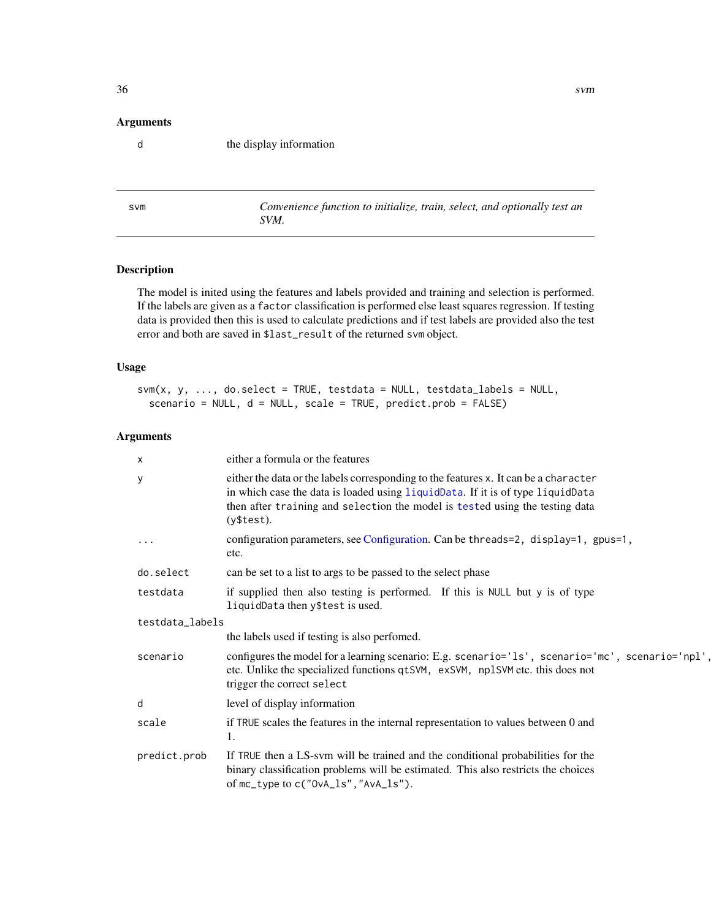#### <span id="page-35-0"></span>Arguments

d the display information

<span id="page-35-1"></span>svm *Convenience function to initialize, train, select, and optionally test an SVM.*

#### Description

The model is inited using the features and labels provided and training and selection is performed. If the labels are given as a factor classification is performed else least squares regression. If testing data is provided then this is used to calculate predictions and if test labels are provided also the test error and both are saved in \$last\_result of the returned svm object.

#### Usage

```
sum(x, y, ..., do.\text{select} = TRUE, \text{testdata} = NULL, \text{testdata\_labels} = NULL,scenario = NULL, d = NULL, scale = TRUE, predict.prob = FALSE)
```
#### Arguments

| $\times$        | either a formula or the features                                                                                                                                                                                                                                     |
|-----------------|----------------------------------------------------------------------------------------------------------------------------------------------------------------------------------------------------------------------------------------------------------------------|
| у               | either the data or the labels corresponding to the features x. It can be a character<br>in which case the data is loaded using liquidData. If it is of type liquidData<br>then after training and selection the model is tested using the testing data<br>(y\$test). |
|                 | configuration parameters, see Configuration. Can be threads=2, display=1, gpus=1,<br>etc.                                                                                                                                                                            |
| do.select       | can be set to a list to args to be passed to the select phase                                                                                                                                                                                                        |
| testdata        | if supplied then also testing is performed. If this is NULL but y is of type<br>liquidData then y\$test is used.                                                                                                                                                     |
| testdata_labels |                                                                                                                                                                                                                                                                      |
|                 | the labels used if testing is also perfomed.                                                                                                                                                                                                                         |
| scenario        | configures the model for a learning scenario: E.g. scenario='1s', scenario='mc', scenario='npl'<br>etc. Unlike the specialized functions qtSVM, exSVM, np1SVM etc. this does not<br>trigger the correct select                                                       |
| d               | level of display information                                                                                                                                                                                                                                         |
| scale           | if TRUE scales the features in the internal representation to values between 0 and<br>1.                                                                                                                                                                             |
| predict.prob    | If TRUE then a LS-svm will be trained and the conditional probabilities for the<br>binary classification problems will be estimated. This also restricts the choices<br>of mc_type to c("0vA_ls","AvA_ls").                                                          |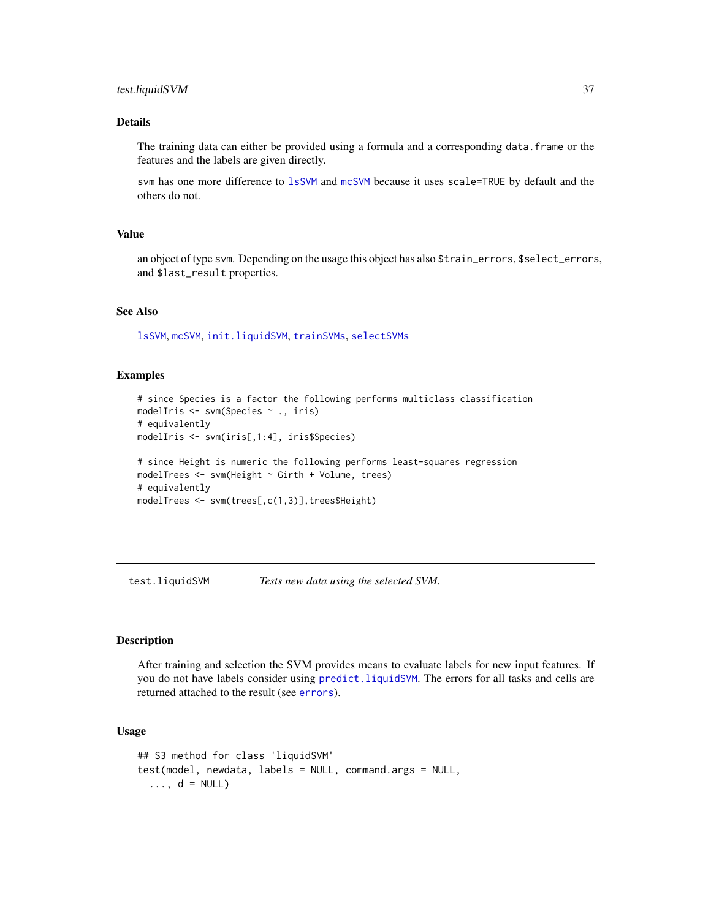#### <span id="page-36-0"></span>test.liquidSVM 37

#### Details

The training data can either be provided using a formula and a corresponding data.frame or the features and the labels are given directly.

svm has one more difference to [lsSVM](#page-21-1) and [mcSVM](#page-22-1) because it uses scale=TRUE by default and the others do not.

#### Value

an object of type svm. Depending on the usage this object has also \$train\_errors, \$select\_errors, and \$last\_result properties.

#### See Also

[lsSVM](#page-21-1), [mcSVM](#page-22-1), [init.liquidSVM](#page-16-1), [trainSVMs](#page-40-1), [selectSVMs](#page-32-1)

#### Examples

```
# since Species is a factor the following performs multiclass classification
modelIris <- svm(Species ~ ., iris)
# equivalently
modelIris <- svm(iris[,1:4], iris$Species)
# since Height is numeric the following performs least-squares regression
modelTrees <- svm(Height ~ Girth + Volume, trees)
# equivalently
```

```
modelTrees <- svm(trees[,c(1,3)],trees$Height)
```
<span id="page-36-1"></span>test.liquidSVM *Tests new data using the selected SVM.*

#### <span id="page-36-2"></span>**Description**

After training and selection the SVM provides means to evaluate labels for new input features. If you do not have labels consider using [predict.liquidSVM](#page-27-1). The errors for all tasks and cells are returned attached to the result (see [errors](#page-12-1)).

#### Usage

```
## S3 method for class 'liquidSVM'
test(model, newdata, labels = NULL, command.args = NULL,
  \ldots, d = NULL)
```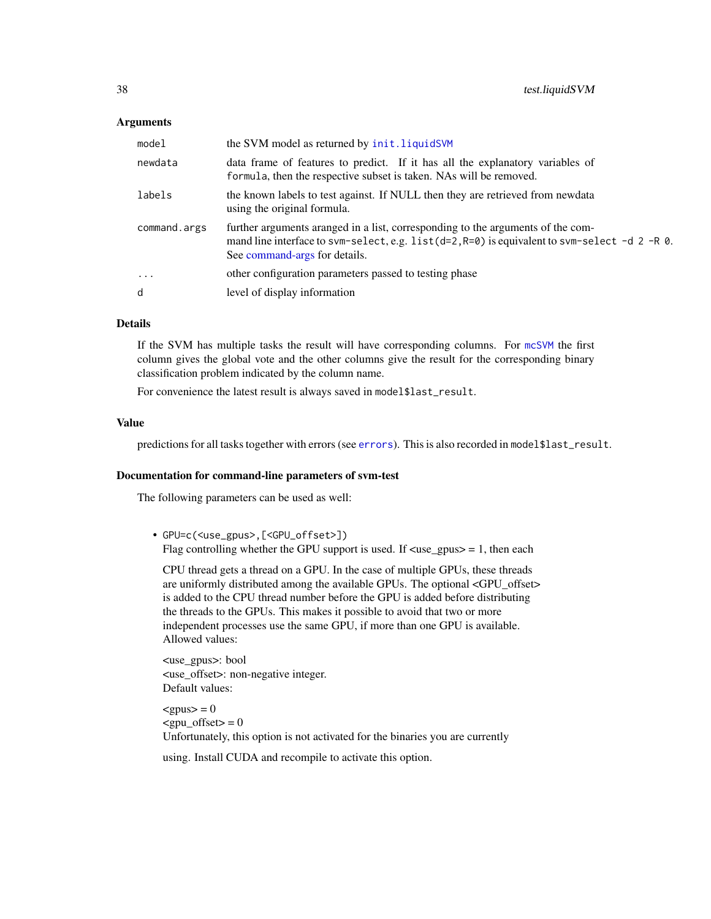#### <span id="page-37-0"></span>**Arguments**

| model               | the SVM model as returned by init. liquidSVM                                                                                                                                                                        |
|---------------------|---------------------------------------------------------------------------------------------------------------------------------------------------------------------------------------------------------------------|
| newdata             | data frame of features to predict. If it has all the explanatory variables of<br>formula, then the respective subset is taken. NAs will be removed.                                                                 |
| labels              | the known labels to test against. If NULL then they are retrieved from newdata<br>using the original formula.                                                                                                       |
| command.args        | further arguments aranged in a list, corresponding to the arguments of the com-<br>mand line interface to svm-select, e.g. $list(d=2, R=0)$ is equivalent to svm-select -d 2 -R 0.<br>See command-args for details. |
| $\cdot \cdot \cdot$ | other configuration parameters passed to testing phase                                                                                                                                                              |
| d                   | level of display information                                                                                                                                                                                        |

#### Details

If the SVM has multiple tasks the result will have corresponding columns. For [mcSVM](#page-22-1) the first column gives the global vote and the other columns give the result for the corresponding binary classification problem indicated by the column name.

For convenience the latest result is always saved in model\$last\_result.

#### Value

predictions for all tasks together with errors (see [errors](#page-12-1)). This is also recorded in model\$last\_result.

#### Documentation for command-line parameters of svm-test

The following parameters can be used as well:

• GPU=c(<use\_gpus>,[<GPU\_offset>]) Flag controlling whether the GPU support is used. If  $\langle$ use\_gpus $\rangle$  = 1, then each

CPU thread gets a thread on a GPU. In the case of multiple GPUs, these threads are uniformly distributed among the available GPUs. The optional <GPU\_offset> is added to the CPU thread number before the GPU is added before distributing the threads to the GPUs. This makes it possible to avoid that two or more independent processes use the same GPU, if more than one GPU is available. Allowed values:

<use\_gpus>: bool <use\_offset>: non-negative integer. Default values:

 $<$ gpus $>$  = 0  $<$ gpu\_offset $>$  = 0 Unfortunately, this option is not activated for the binaries you are currently

using. Install CUDA and recompile to activate this option.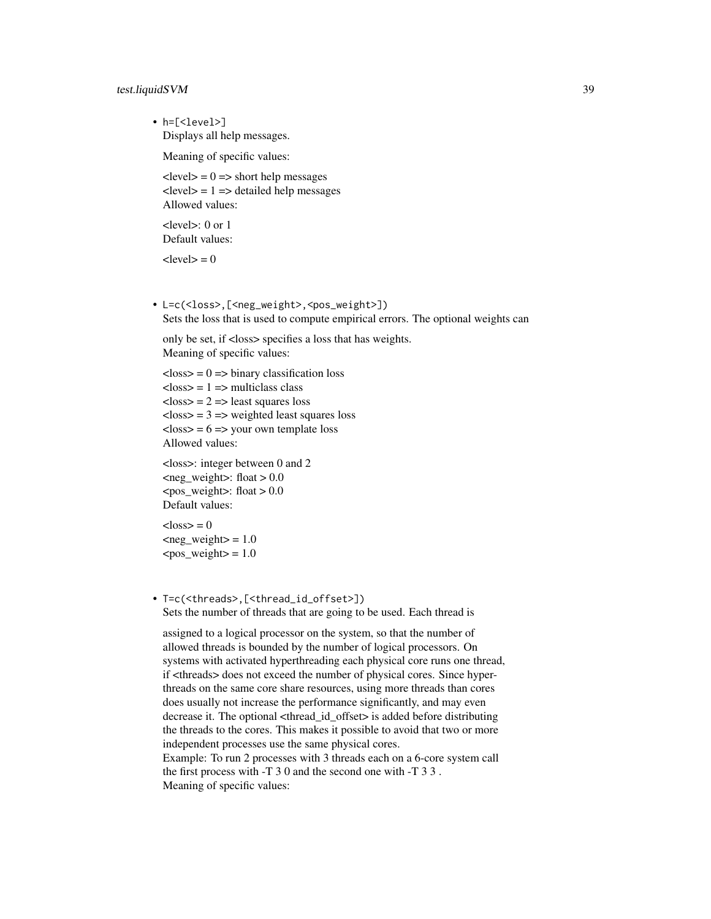#### test.liquidSVM 39

• h=[<level>] Displays all help messages.

Meaning of specific values:

 $\langle$  = 0 = > short help messages  $\langle$  level $\rangle$  = 1 =  $\rangle$  detailed help messages Allowed values:

<level>: 0 or 1 Default values:

 $<sub>level</sub> = 0$ </sub>

• L=c(<loss>,[<neg\_weight>,<pos\_weight>]) Sets the loss that is used to compute empirical errors. The optional weights can

only be set, if <loss> specifies a loss that has weights. Meaning of specific values:

```
\langleloss\rangle = 0 = \langlebinary classification loss
<loss> = 1 = > multiclass class
\langleloss\rangle = 2 = \rangle least squares loss
\langleloss\rangle = 3 = \rangle weighted least squares loss
\langleloss\rangle = 6 = >your own template loss
Allowed values:
```
<loss>: integer between 0 and 2  $\leq$ neg weight $>$ : float  $> 0.0$  $<$ pos\_weight>: float > 0.0 Default values:

 $\langle \text{loss} \rangle = 0$  $\langle$ neg weight $>$  = 1.0  $<$ pos\_weight $>$  = 1.0

• T=c(<threads>,[<thread\_id\_offset>]) Sets the number of threads that are going to be used. Each thread is

assigned to a logical processor on the system, so that the number of allowed threads is bounded by the number of logical processors. On systems with activated hyperthreading each physical core runs one thread, if <threads> does not exceed the number of physical cores. Since hyperthreads on the same core share resources, using more threads than cores does usually not increase the performance significantly, and may even decrease it. The optional <thread\_id\_offset> is added before distributing the threads to the cores. This makes it possible to avoid that two or more independent processes use the same physical cores. Example: To run 2 processes with 3 threads each on a 6-core system call the first process with -T 3 0 and the second one with -T 3 3 . Meaning of specific values: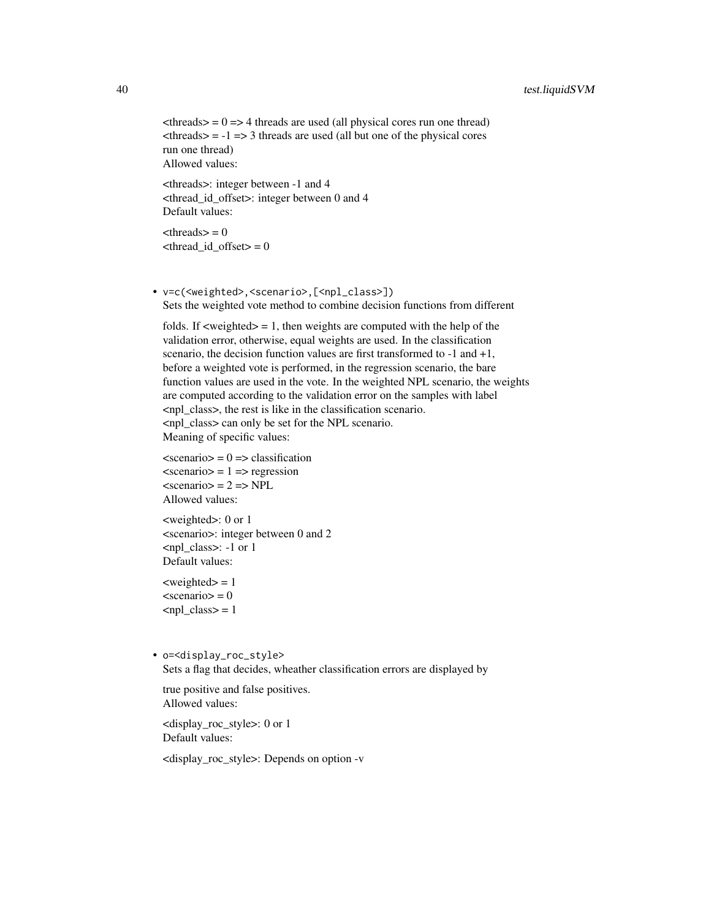#### 40 test.liquidSVM

```
\langlethreads\rangle = 0 = > 4 threads are used (all physical cores run one thread)
\langlethreads\rangle = -1 = > 3 threads are used (all but one of the physical cores
run one thread)
Allowed values:
```
<threads>: integer between -1 and 4 <thread\_id\_offset>: integer between 0 and 4 Default values:

 $\langle$ threads $\rangle$  = 0  $\langle$ thread\_id\_offset $> = 0$ 

• v=c(<weighted>,<scenario>,[<npl\_class>]) Sets the weighted vote method to combine decision functions from different

folds. If  $\langle$ weighted $\rangle$  = 1, then weights are computed with the help of the validation error, otherwise, equal weights are used. In the classification scenario, the decision function values are first transformed to -1 and +1, before a weighted vote is performed, in the regression scenario, the bare function values are used in the vote. In the weighted NPL scenario, the weights are computed according to the validation error on the samples with label <npl\_class>, the rest is like in the classification scenario. <npl\_class> can only be set for the NPL scenario. Meaning of specific values:

```
\alpha <scenario > = 0 = \alpha classification
\alpha \alpha = 1 = \alpha regression
\leqscenario> = 2 = \text{NPL}Allowed values:
```
<weighted>: 0 or 1 <scenario>: integer between 0 and 2 <npl\_class>: -1 or 1 Default values:

 $\langle$ weighted $\rangle$  = 1  $\alpha$  <scenario  $>$  = 0  $\text{supl} \text{ class} = 1$ 

• o=<display\_roc\_style> Sets a flag that decides, wheather classification errors are displayed by

true positive and false positives. Allowed values:

<display\_roc\_style>: 0 or 1 Default values:

<display\_roc\_style>: Depends on option -v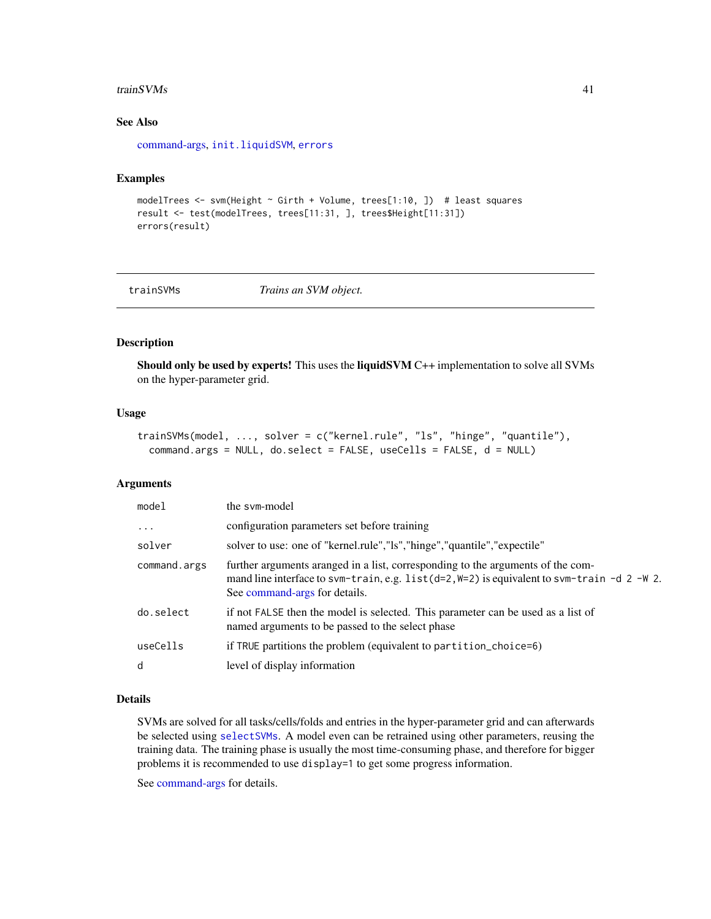#### <span id="page-40-0"></span>trainSVMs  $41$

#### See Also

[command-args,](#page-6-1) [init.liquidSVM](#page-16-1), [errors](#page-12-1)

#### Examples

```
modelTrees <- svm(Height ~ Girth + Volume, trees[1:10, ]) # least squares
result <- test(modelTrees, trees[11:31, ], trees$Height[11:31])
errors(result)
```
<span id="page-40-1"></span>

trainSVMs *Trains an SVM object.*

#### Description

Should only be used by experts! This uses the liquidSVM C++ implementation to solve all SVMs on the hyper-parameter grid.

#### Usage

```
trainSVMs(model, ..., solver = c("kernel.rule", "ls", "hinge", "quantile"),
 command.args = NULL, do.select = FALSE, useCells = FALSE, d = NULL)
```
#### Arguments

| model        | the sym-model                                                                                                                                                                                                     |
|--------------|-------------------------------------------------------------------------------------------------------------------------------------------------------------------------------------------------------------------|
| $\ddots$     | configuration parameters set before training                                                                                                                                                                      |
| solver       | solver to use: one of "kernel.rule","ls","hinge","quantile","expectile"                                                                                                                                           |
| command.args | further arguments aranged in a list, corresponding to the arguments of the com-<br>mand line interface to svm-train, e.g. $list(d=2, W=2)$ is equivalent to svm-train -d 2 -W 2.<br>See command-args for details. |
| do.select    | if not FALSE then the model is selected. This parameter can be used as a list of<br>named arguments to be passed to the select phase                                                                              |
| useCells     | if TRUE partitions the problem (equivalent to partition_choice=6)                                                                                                                                                 |
| d            | level of display information                                                                                                                                                                                      |
|              |                                                                                                                                                                                                                   |

#### Details

SVMs are solved for all tasks/cells/folds and entries in the hyper-parameter grid and can afterwards be selected using [selectSVMs](#page-32-1). A model even can be retrained using other parameters, reusing the training data. The training phase is usually the most time-consuming phase, and therefore for bigger problems it is recommended to use display=1 to get some progress information.

See [command-args](#page-6-1) for details.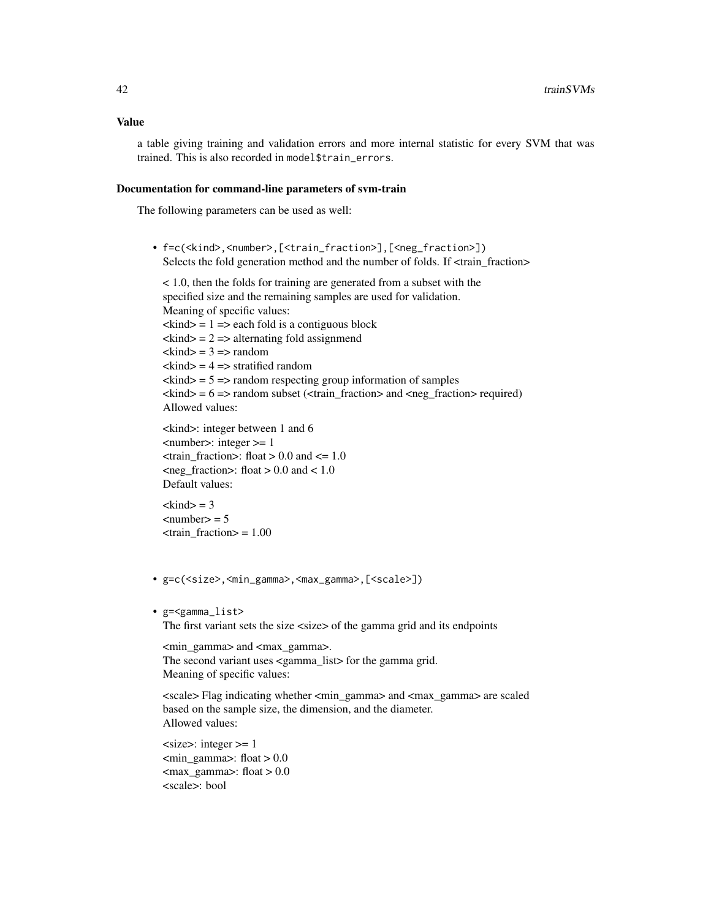a table giving training and validation errors and more internal statistic for every SVM that was trained. This is also recorded in model\$train\_errors.

#### Documentation for command-line parameters of svm-train

The following parameters can be used as well:

• f=c(<kind>,<number>,[<train\_fraction>],[<neg\_fraction>]) Selects the fold generation method and the number of folds. If <train\_fraction>

< 1.0, then the folds for training are generated from a subset with the specified size and the remaining samples are used for validation. Meaning of specific values:  $\langle$ kind $\rangle$  = 1 =  $\rangle$  each fold is a contiguous block  $\langle$ kind $\rangle$  = 2 = > alternating fold assignmend  $\langle$ kind $\rangle$  = 3 =  $\rangle$  random  $\langle$ kind $\rangle$  = 4 =  $\rangle$  stratified random  $\langle$ kind $\rangle$  = 5 =  $>$  random respecting group information of samples  $\langle$ kind $\rangle$  = 6 =  $\rangle$  random subset ( $\langle$ train\_fraction $\rangle$  and  $\langle$ neg\_fraction $\rangle$  required) Allowed values:

```
<kind>: integer between 1 and 6
<number>: integer >= 1
\epsilontrain_fraction>: float > 0.0 and \epsilon= 1.0
\text{Im}(t) = fraction>: float > 0.0 and < 1.0
Default values:
```
 $\langle$ kind $\rangle$  = 3  $\langle$ number $\rangle$  = 5  $\langle \text{train\_fraction} \rangle = 1.00$ 

- g=c(<size>,<min\_gamma>,<max\_gamma>,[<scale>])
- g=<gamma\_list>

The first variant sets the size <size> of the gamma grid and its endpoints

<min\_gamma> and <max\_gamma>. The second variant uses <gamma\_list> for the gamma grid. Meaning of specific values:

<scale> Flag indicating whether <min\_gamma> and <max\_gamma> are scaled based on the sample size, the dimension, and the diameter. Allowed values:

 $\langle$ size $\rangle$ : integer  $\geq$ = 1  $\text{cmin\_gamma}$ : float  $> 0.0$  $\langle \text{max} \rangle$  gamma $\langle \text{float} \rangle > 0.0$ <scale>: bool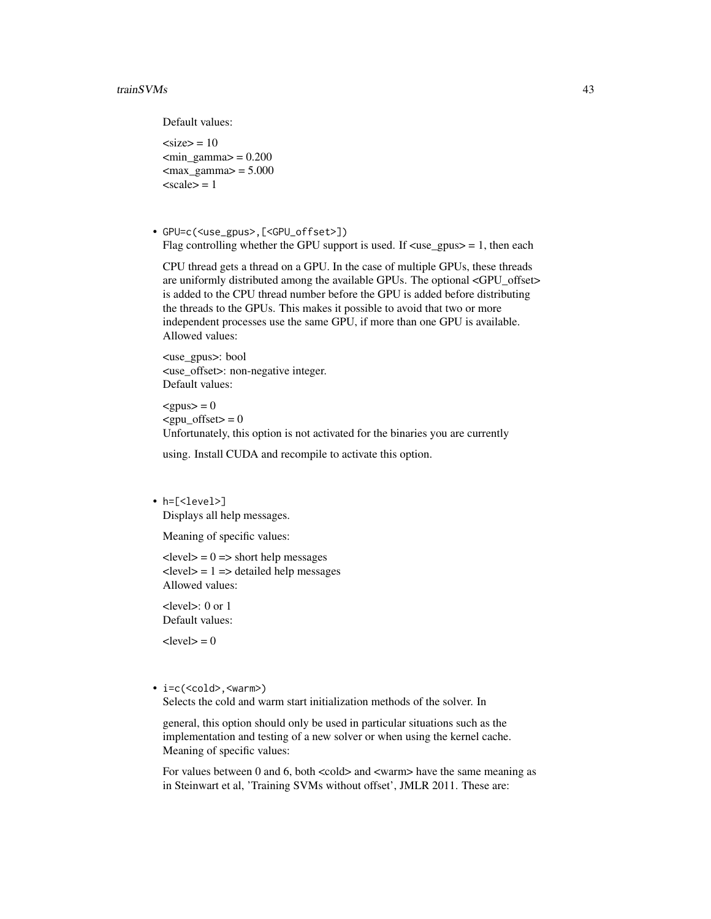Default values:

 $<$ size $>$  = 10  $\text{cmin\_gamma} = 0.200$  $\langle \text{max\_gamma} \rangle = 5.000$  $\langle \text{scale}\rangle = 1$ 

• GPU=c(<use\_gpus>,[<GPU\_offset>]) Flag controlling whether the GPU support is used. If  $\langle$ use\_gpus $\rangle = 1$ , then each

CPU thread gets a thread on a GPU. In the case of multiple GPUs, these threads are uniformly distributed among the available GPUs. The optional <GPU\_offset> is added to the CPU thread number before the GPU is added before distributing the threads to the GPUs. This makes it possible to avoid that two or more independent processes use the same GPU, if more than one GPU is available. Allowed values:

<use\_gpus>: bool <use\_offset>: non-negative integer. Default values:

 $<$ gpus $>$  = 0  $<$ gpu offset $>$  = 0 Unfortunately, this option is not activated for the binaries you are currently

using. Install CUDA and recompile to activate this option.

• h=[<level>] Displays all help messages.

Meaning of specific values:

 $\langle$  level $>$  = 0 =  $\rangle$  short help messages  $\langle$  level $\rangle$  = 1 =  $\rangle$  detailed help messages Allowed values:

<level>: 0 or 1 Default values:

 $<$ level $>$  = 0

• i=c(<cold>,<warm>)

Selects the cold and warm start initialization methods of the solver. In

general, this option should only be used in particular situations such as the implementation and testing of a new solver or when using the kernel cache. Meaning of specific values:

For values between 0 and 6, both <cold> and <warm> have the same meaning as in Steinwart et al, 'Training SVMs without offset', JMLR 2011. These are: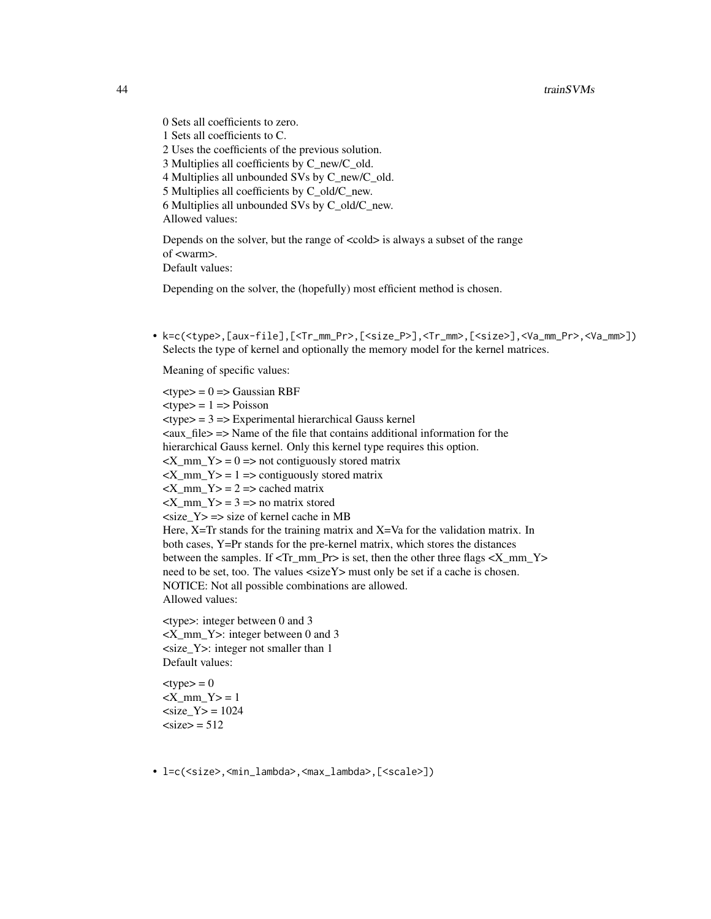0 Sets all coefficients to zero. 1 Sets all coefficients to C. 2 Uses the coefficients of the previous solution. 3 Multiplies all coefficients by C\_new/C\_old. 4 Multiplies all unbounded SVs by C\_new/C\_old. 5 Multiplies all coefficients by C\_old/C\_new. 6 Multiplies all unbounded SVs by C\_old/C\_new. Allowed values:

Depends on the solver, but the range of <cold> is always a subset of the range of <warm>. Default values:

Depending on the solver, the (hopefully) most efficient method is chosen.

• k=c(<type>,[aux-file],[<Tr\_mm\_Pr>,[<size\_P>],<Tr\_mm>,[<size>],<Va\_mm\_Pr>,<Va\_mm>]) Selects the type of kernel and optionally the memory model for the kernel matrices.

Meaning of specific values:

 $lt$ type $> = 0 \Rightarrow$  Gaussian RBF  $<$ type $>$  = 1 = > Poisson  $ext{type}$  = 3 = Experimental hierarchical Gauss kernel  $\langle \text{aux}_\text{min} | \text{false} \rangle$  = Name of the file that contains additional information for the hierarchical Gauss kernel. Only this kernel type requires this option.  $\langle X \text{ mm } Y \rangle = 0 \implies$  not contiguously stored matrix  $\langle X \rangle$  mm  $Y> = 1$  => contiguously stored matrix  $\langle X \text{ mm } Y \rangle = 2 \Rightarrow$  cached matrix  $<$ X\_mm\_Y $>$  = 3 = > no matrix stored  $\langle$ size\_Y $>$  =  $>$ size of kernel cache in MB Here, X=Tr stands for the training matrix and X=Va for the validation matrix. In both cases, Y=Pr stands for the pre-kernel matrix, which stores the distances between the samples. If <Tr\_mm\_Pr> is set, then the other three flags <X\_mm\_Y> need to be set, too. The values <sizeY> must only be set if a cache is chosen. NOTICE: Not all possible combinations are allowed. Allowed values:

<type>: integer between 0 and 3 <X\_mm\_Y>: integer between 0 and 3 <size\_Y>: integer not smaller than 1 Default values:

 $ltvpe$  = 0  $<$ X mm Y> = 1  $<$ size Y $>$  = 1024  $<$ size $>$  = 512

• l=c(<size>,<min\_lambda>,<max\_lambda>,[<scale>])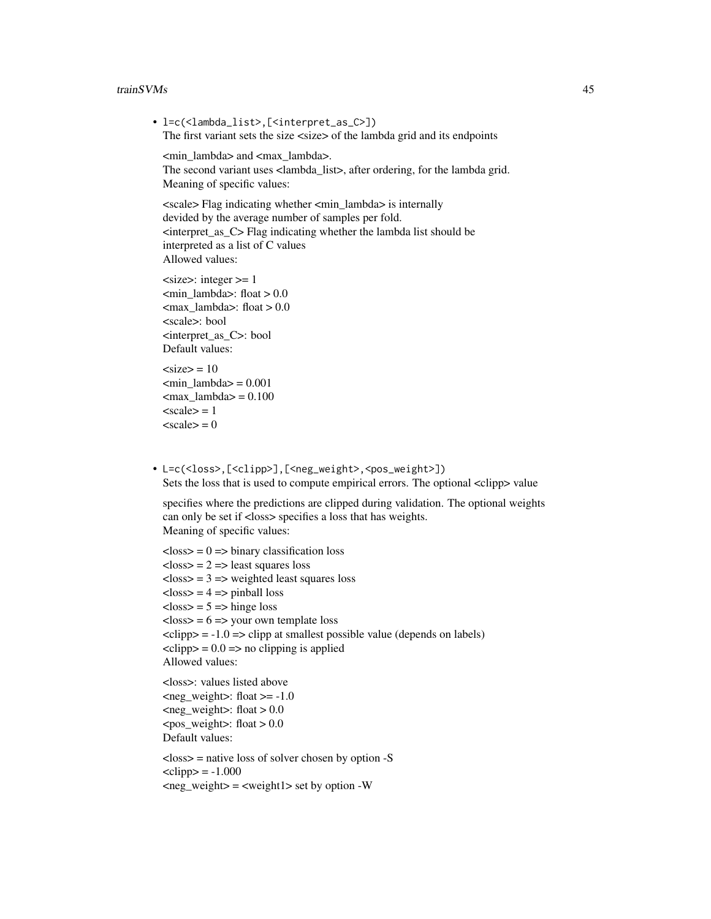#### trainSVMs 45

- l=c(<lambda\_list>,[<interpret\_as\_C>]) The first variant sets the size <size> of the lambda grid and its endpoints <min\_lambda> and <max\_lambda>. The second variant uses <lambda\_list>, after ordering, for the lambda grid. Meaning of specific values: <scale> Flag indicating whether <min\_lambda> is internally devided by the average number of samples per fold. <interpret\_as\_C> Flag indicating whether the lambda list should be interpreted as a list of C values Allowed values:  $<$ size $>$ : integer  $>=$  1  $\text{cmin\_lambda}$ : float  $> 0.0$  $\text{max\_lambda}:$  float  $> 0.0$ <scale>: bool <interpret\_as\_C>: bool Default values:  $<$ size $>$  = 10  $\text{cmin lambda} = 0.001$  $\langle \text{max\_lambda} = 0.100 \rangle$  $<$ scale $>$  = 1
	- $\langle scale \rangle = 0$
- L=c(<loss>,[<clipp>],[<neg\_weight>,<pos\_weight>]) Sets the loss that is used to compute empirical errors. The optional <clipp> value

specifies where the predictions are clipped during validation. The optional weights can only be set if <loss> specifies a loss that has weights. Meaning of specific values:

```
\langleloss\rangle = 0 = \langlebinary classification loss
\langleloss\rangle = 2 = least squares loss
\langleloss\rangle = 3 = \rangle weighted least squares loss
<loss> = 4 => pinball loss
<loss> = 5 = >hinge loss
\langleloss\rangle = 6 = >your own template loss
\langleclipp\rangle = -1.0 = \langleclipp at smallest possible value (depends on labels)
\langleclipp\rangle = 0.0 = > no clipping is applied
Allowed values:
<loss>: values listed above
\text{<}neg_weight\text{>}: float \text{>}= -1.0
\leqneg weight\geq: float > 0.0<pos weight>: float > 0.0Default values:
\langleloss\rangle = native loss of solver chosen by option -S
\langleclipp\rangle = -1.000
\langleneg_weight\rangle = \langleweight1\rangle set by option -W
```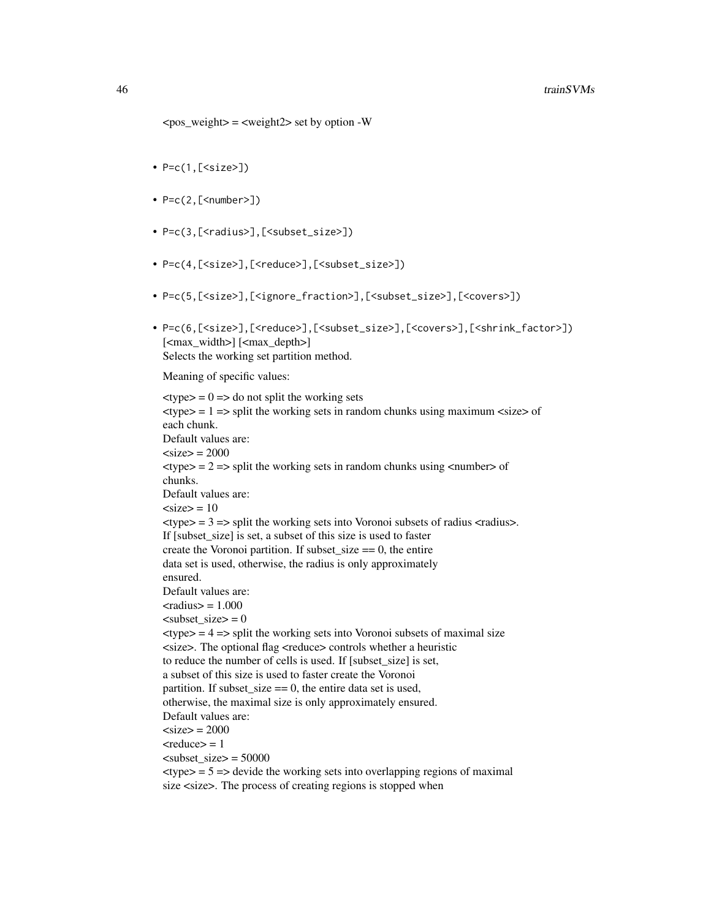- $P = c(1, [ssize >])$
- $P=c(2, [\text{}]$
- P=c(3,[<radius>],[<subset\_size>])
- P=c(4,[<size>],[<reduce>],[<subset\_size>])
- P=c(5,[<size>],[<ignore\_fraction>],[<subset\_size>],[<covers>])
- P=c(6,[<size>],[<reduce>],[<subset\_size>],[<covers>],[<shrink\_factor>]) [<max\_width>] [<max\_depth>] Selects the working set partition method.

Meaning of specific values:

 $\langle \text{type} \rangle = 0 \implies \text{do not split the working sets}$  $\langle$  = 1 = > split the working sets in random chunks using maximum  $\langle$  size > of each chunk. Default values are:  $<$ size $>$  = 2000  $\langle$ type $\rangle$  = 2 =  $>$  split the working sets in random chunks using  $\langle$  number  $\rangle$  of chunks. Default values are:  $<$ size $>$  = 10  $\langle$  = 3 = > split the working sets into Voronoi subsets of radius  $\langle$  radius  $\rangle$ . If [subset size] is set, a subset of this size is used to faster create the Voronoi partition. If subset  $size == 0$ , the entire data set is used, otherwise, the radius is only approximately ensured. Default values are:  $\langle \text{radius} \rangle = 1.000$  $\text{zubset}\$ size $> = 0$  $\langle \text{type} \rangle = 4 \implies \text{split}$  the working sets into Voronoi subsets of maximal size <size>. The optional flag <reduce> controls whether a heuristic to reduce the number of cells is used. If [subset\_size] is set, a subset of this size is used to faster create the Voronoi partition. If subset\_size  $== 0$ , the entire data set is used, otherwise, the maximal size is only approximately ensured. Default values are:  $\langle$ size $\rangle$  = 2000  $<$ reduce $>$  = 1  $\langle$ subset\_size $>$  = 50000  $\langle$ type $\rangle$  = 5 =  $\rangle$  devide the working sets into overlapping regions of maximal size <size>. The process of creating regions is stopped when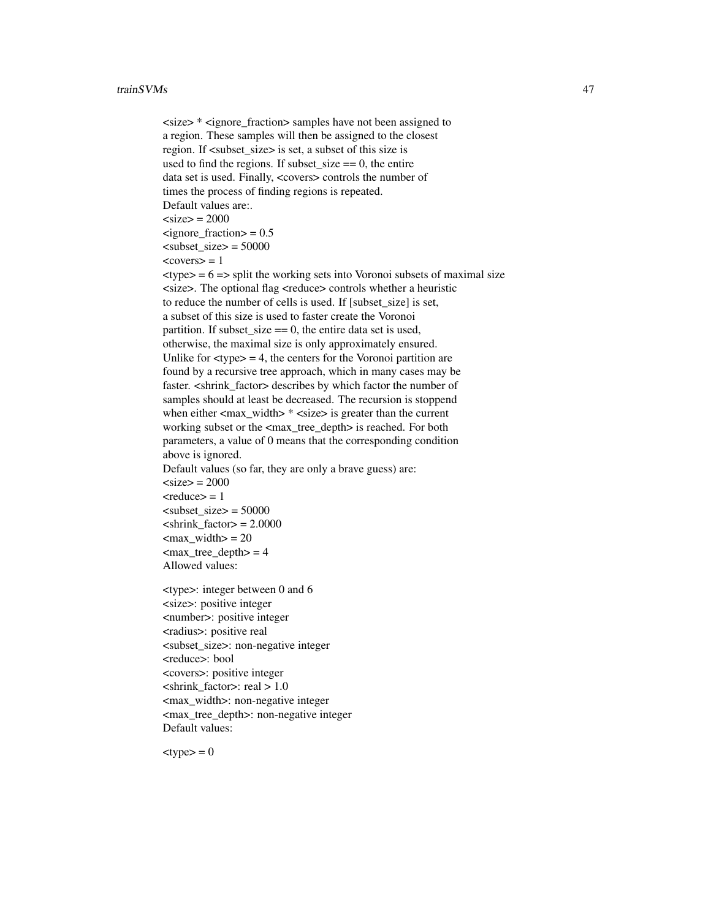```
<size> * <ignore_fraction> samples have not been assigned to
a region. These samples will then be assigned to the closest
region. If \langle subset size\rangle is set, a subset of this size is
used to find the regions. If subset size == 0, the entire
data set is used. Finally, <covers> controls the number of
times the process of finding regions is repeated.
Default values are:.
<size> = 2000
\epsilonignore fraction> = 0.5\langlesubset size> = 50000<covers> = 1
\langletype\rangle = 6 = > split the working sets into Voronoi subsets of maximal size
<size>. The optional flag <reduce> controls whether a heuristic
to reduce the number of cells is used. If [subset_size] is set,
a subset of this size is used to faster create the Voronoi
partition. If subset_size == 0, the entire data set is used,
otherwise, the maximal size is only approximately ensured.
Unlike for \langle \text{type} \rangle = 4, the centers for the Voronoi partition are
found by a recursive tree approach, which in many cases may be
faster. <shrink factor> describes by which factor the number of
samples should at least be decreased. The recursion is stoppend
when either \langle \text{max} \rangle width> * \langle \text{size} \rangle is greater than the current
working subset or the <max_tree_depth> is reached. For both
parameters, a value of 0 means that the corresponding condition
above is ignored.
Default values (so far, they are only a brave guess) are:
\langlesize\rangle = 2000
<reduce> = 1
\langlesubset size> = 50000
\langleshrink_factor> = 2.0000
\text{max}\width> = 20
\text{max\_tree\_depth} = 4Allowed values:
<type>: integer between 0 and 6
<size>: positive integer
<number>: positive integer
<radius>: positive real
<subset_size>: non-negative integer
<reduce>: bool
```
<covers>: positive integer  $\epsilon$ shrink factor>: real > 1.0 <max\_width>: non-negative integer <max\_tree\_depth>: non-negative integer Default values:

 $ltvpe$  = 0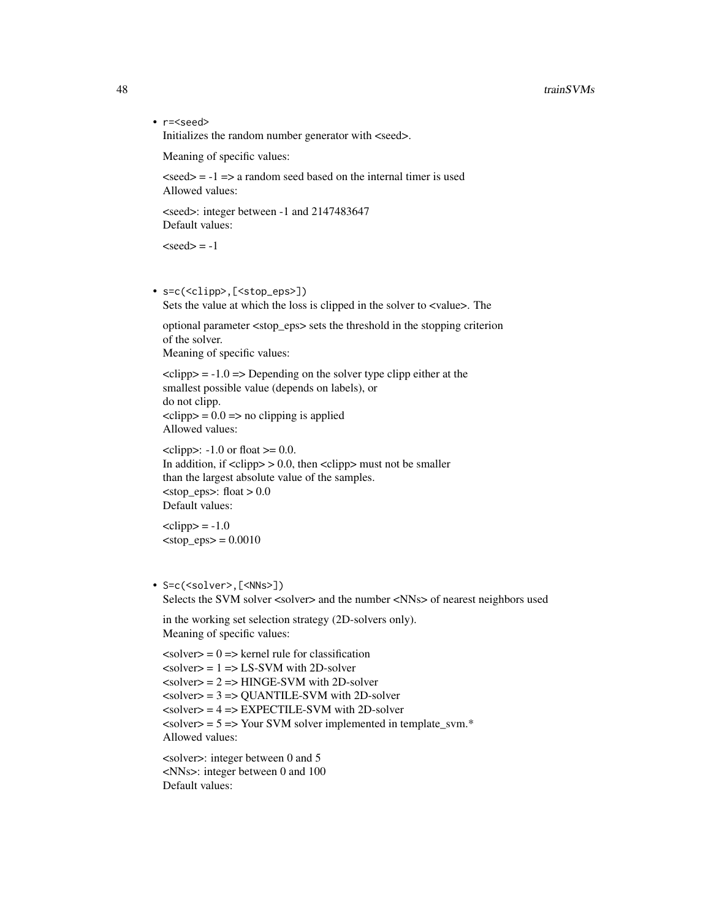• r=<seed> Initializes the random number generator with <seed>.

Meaning of specific values:

 $\langle \text{seed} \rangle = -1 \implies$  a random seed based on the internal timer is used Allowed values:

<seed>: integer between -1 and 2147483647 Default values:

 $<$ seed $>$  = -1

• s=c(<clipp>,[<stop\_eps>]) Sets the value at which the loss is clipped in the solver to <value>. The

optional parameter <stop\_eps> sets the threshold in the stopping criterion of the solver. Meaning of specific values:

 $\langle$ clipp $\rangle$  = -1.0 = > Depending on the solver type clipp either at the smallest possible value (depends on labels), or do not clipp.  $\langle$ clipp $\rangle$  = 0.0 =  $>$  no clipping is applied

Allowed values:

```
\langleclipp>: -1.0 or float \langle = 0.0.
In addition, if \langleclipp\rangle > 0.0, then \langleclipp\rangle must not be smaller
than the largest absolute value of the samples.
<stop_eps>: float > 0.0
Default values:
```
 $\langle$ clipp $\rangle$  = -1.0  $<$ stop\_eps $>$  = 0.0010

#### • S=c(<solver>,[<NNs>]) Selects the SVM solver <solver> and the number <NNs> of nearest neighbors used

in the working set selection strategy (2D-solvers only). Meaning of specific values:

```
\langle \text{solver} \rangle = 0 \Rightarrow \text{kernel rule for classification}\langle \text{solver} \rangle = 1 \implies \text{LS-SVM} with 2D-solver
\langlesolver\rangle = 2 = HINGE-SVM with 2D-solver
\langlesolver\rangle = 3 = \langleQUANTILE-SVM with 2D-solver
\langlesolver\rangle = 4 = \angle EXPECTILE-SVM with 2D-solver
\langlesolver\rangle = 5 = > Your SVM solver implemented in template_svm.*
Allowed values:
```
<solver>: integer between 0 and 5 <NNs>: integer between 0 and 100 Default values: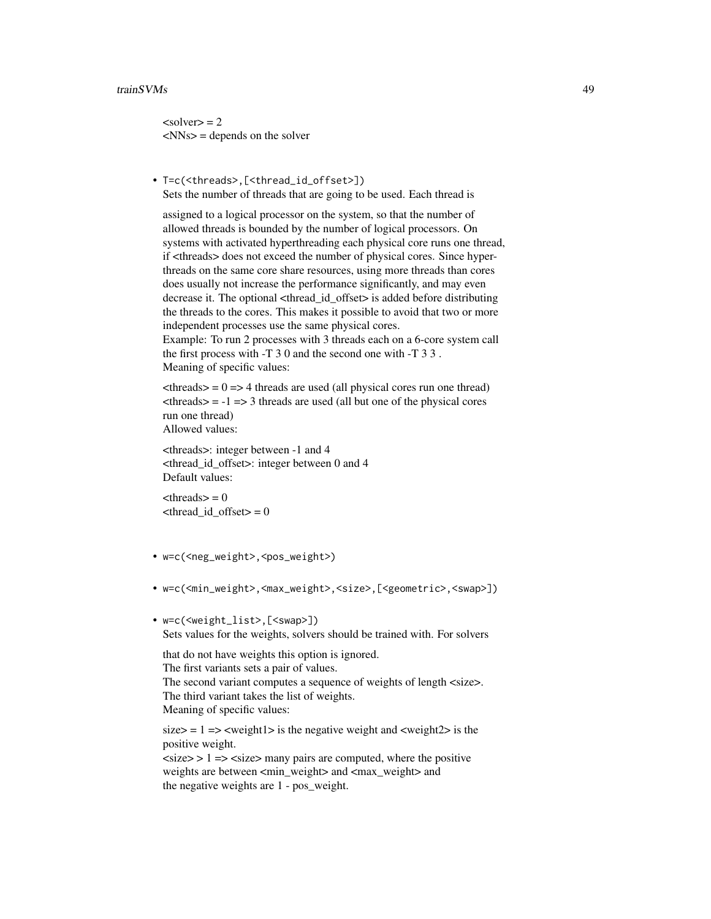#### trainSVMs 49

 $\langle \text{solver} \rangle = 2$  $<$ NNs $>$  = depends on the solver

• T=c(<threads>,[<thread\_id\_offset>]) Sets the number of threads that are going to be used. Each thread is

assigned to a logical processor on the system, so that the number of allowed threads is bounded by the number of logical processors. On systems with activated hyperthreading each physical core runs one thread, if <threads> does not exceed the number of physical cores. Since hyperthreads on the same core share resources, using more threads than cores does usually not increase the performance significantly, and may even decrease it. The optional <thread\_id\_offset> is added before distributing the threads to the cores. This makes it possible to avoid that two or more independent processes use the same physical cores.

Example: To run 2 processes with 3 threads each on a 6-core system call the first process with -T 3 0 and the second one with -T 3 3 . Meaning of specific values:

 $\langle$ threads $\rangle$  = 0 = > 4 threads are used (all physical cores run one thread)  $\langle$ threads $\rangle$  = -1 = > 3 threads are used (all but one of the physical cores run one thread) Allowed values:

<threads>: integer between -1 and 4 <thread\_id\_offset>: integer between 0 and 4 Default values:

 $\langle$ threads $\rangle$  = 0  $\langle$  thread id offset $> = 0$ 

- w=c(<neg\_weight>,<pos\_weight>)
- w=c(<min\_weight>,<max\_weight>,<size>,[<geometric>,<swap>])
- w=c(<weight\_list>,[<swap>]) Sets values for the weights, solvers should be trained with. For solvers

that do not have weights this option is ignored. The first variants sets a pair of values. The second variant computes a sequence of weights of length <size>. The third variant takes the list of weights. Meaning of specific values:

 $size = 1 \Rightarrow$  <weight1> is the negative weight and <weight2> is the positive weight.

 $\langle$ size $\rangle$  > 1 =  $\langle$ size $\rangle$  many pairs are computed, where the positive weights are between <min\_weight> and <max\_weight> and the negative weights are 1 - pos\_weight.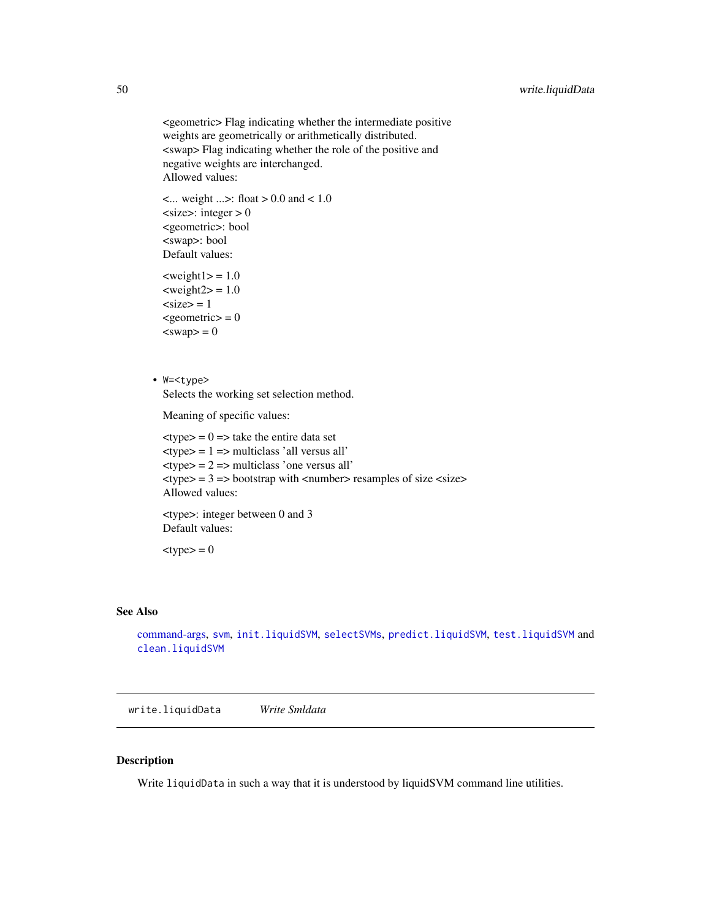<span id="page-49-0"></span><geometric> Flag indicating whether the intermediate positive weights are geometrically or arithmetically distributed. <swap> Flag indicating whether the role of the positive and negative weights are interchanged. Allowed values:

```
\text{1.0} \text{1.0} \text{1.0} \text{1.0} \text{1.0}<size>: integer > 0<geometric>: bool
<swap>: bool
Default values:
```

```
\langle \text{weight1} \rangle = 1.0\langle \text{weight2} \rangle = 1.0<size> = 1
<geometric> = 0
<swap> = 0
```
• W=<type> Selects the working set selection method.

Meaning of specific values:

 $lt$ type $> = 0 \Rightarrow$  take the entire data set  $$\langle$type>=1$ =$ multiplications' all versus all'$  $ext{type}$  = 2 => multiclass 'one versus all'  $lt; type$  = 3 = > bootstrap with  $lt; number$  resamples of size  $lt; size$ Allowed values:

<type>: integer between 0 and 3 Default values:

 $<$ type $>$  = 0

#### See Also

```
command-args, svm, init.liquidSVM, selectSVMs, predict.liquidSVM, test.liquidSVM and
clean.liquidSVM
```
write.liquidData *Write Smldata*

#### Description

Write liquidData in such a way that it is understood by liquidSVM command line utilities.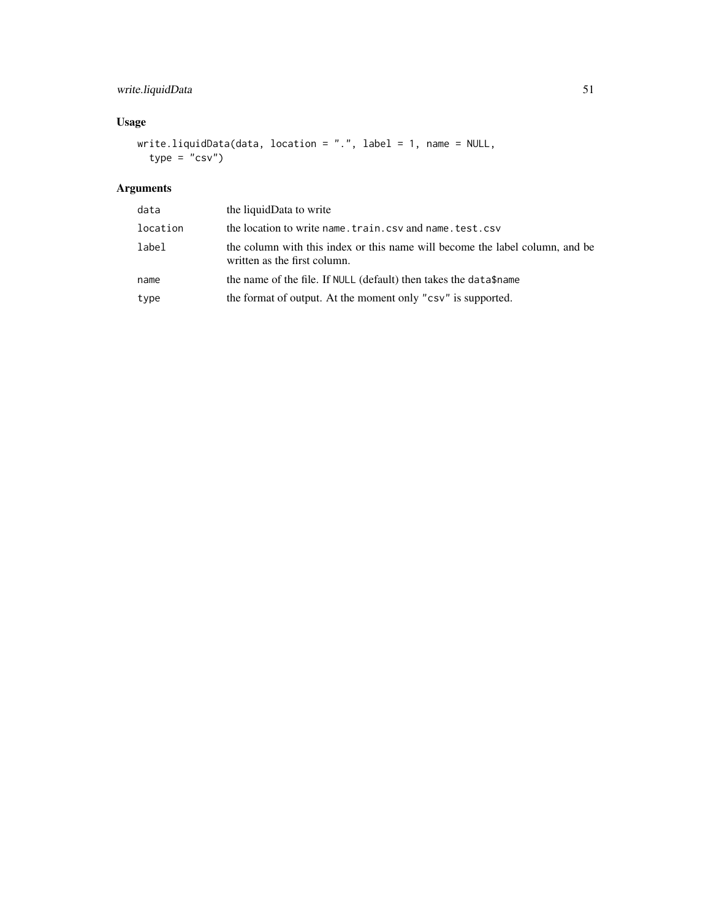# write.liquidData 51

# Usage

```
write.liquidData(data, location = ".", label = 1, name = NULL,
  type = ^{\prime\prime}csv")
```
# Arguments

| data     | the liquidData to write                                                                                      |
|----------|--------------------------------------------------------------------------------------------------------------|
| location | the location to write name.train.csv and name.test.csv                                                       |
| label    | the column with this index or this name will become the label column, and be<br>written as the first column. |
| name     | the name of the file. If NULL (default) then takes the data\$name                                            |
| type     | the format of output. At the moment only "csv" is supported.                                                 |
|          |                                                                                                              |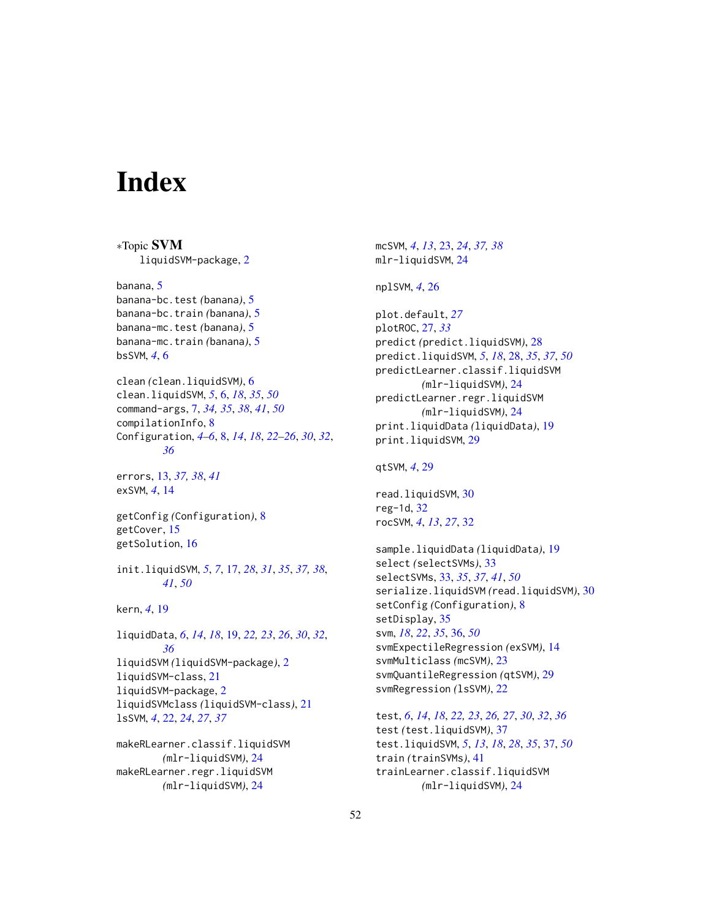# <span id="page-51-0"></span>**Index**

∗Topic SVM liquidSVM-package, [2](#page-1-0) banana, [5](#page-4-0) banana-bc.test *(*banana*)*, [5](#page-4-0) banana-bc.train *(*banana*)*, [5](#page-4-0) banana-mc.test *(*banana*)*, [5](#page-4-0) banana-mc.train *(*banana*)*, [5](#page-4-0) bsSVM, *[4](#page-3-0)*, [6](#page-5-0) clean *(*clean.liquidSVM*)*, [6](#page-5-0) clean.liquidSVM, *[5](#page-4-0)*, [6,](#page-5-0) *[18](#page-17-0)*, *[35](#page-34-0)*, *[50](#page-49-0)* command-args, [7,](#page-6-0) *[34,](#page-33-0) [35](#page-34-0)*, *[38](#page-37-0)*, *[41](#page-40-0)*, *[50](#page-49-0)* compilationInfo, [8](#page-7-0) Configuration, *[4](#page-3-0)[–6](#page-5-0)*, [8,](#page-7-0) *[14](#page-13-0)*, *[18](#page-17-0)*, *[22–](#page-21-0)[26](#page-25-0)*, *[30](#page-29-0)*, *[32](#page-31-0)*, *[36](#page-35-0)* errors, [13,](#page-12-0) *[37,](#page-36-0) [38](#page-37-0)*, *[41](#page-40-0)* exSVM, *[4](#page-3-0)*, [14](#page-13-0) getConfig *(*Configuration*)*, [8](#page-7-0) getCover, [15](#page-14-0) getSolution, [16](#page-15-0) init.liquidSVM, *[5](#page-4-0)*, *[7](#page-6-0)*, [17,](#page-16-0) *[28](#page-27-0)*, *[31](#page-30-0)*, *[35](#page-34-0)*, *[37,](#page-36-0) [38](#page-37-0)*, *[41](#page-40-0)*, *[50](#page-49-0)* kern, *[4](#page-3-0)*, [19](#page-18-0) liquidData, *[6](#page-5-0)*, *[14](#page-13-0)*, *[18](#page-17-0)*, [19,](#page-18-0) *[22,](#page-21-0) [23](#page-22-0)*, *[26](#page-25-0)*, *[30](#page-29-0)*, *[32](#page-31-0)*, *[36](#page-35-0)* liquidSVM *(*liquidSVM-package*)*, [2](#page-1-0) liquidSVM-class, [21](#page-20-0) liquidSVM-package, [2](#page-1-0) liquidSVMclass *(*liquidSVM-class*)*, [21](#page-20-0) lsSVM, *[4](#page-3-0)*, [22,](#page-21-0) *[24](#page-23-0)*, *[27](#page-26-0)*, *[37](#page-36-0)* makeRLearner.classif.liquidSVM *(*mlr-liquidSVM*)*, [24](#page-23-0)

makeRLearner.regr.liquidSVM *(*mlr-liquidSVM*)*, [24](#page-23-0)

mcSVM, *[4](#page-3-0)*, *[13](#page-12-0)*, [23,](#page-22-0) *[24](#page-23-0)*, *[37,](#page-36-0) [38](#page-37-0)* mlr-liquidSVM, [24](#page-23-0)

#### nplSVM, *[4](#page-3-0)*, [26](#page-25-0)

plot.default, *[27](#page-26-0)* plotROC, [27,](#page-26-0) *[33](#page-32-0)* predict *(*predict.liquidSVM*)*, [28](#page-27-0) predict.liquidSVM, *[5](#page-4-0)*, *[18](#page-17-0)*, [28,](#page-27-0) *[35](#page-34-0)*, *[37](#page-36-0)*, *[50](#page-49-0)* predictLearner.classif.liquidSVM *(*mlr-liquidSVM*)*, [24](#page-23-0) predictLearner.regr.liquidSVM *(*mlr-liquidSVM*)*, [24](#page-23-0) print.liquidData *(*liquidData*)*, [19](#page-18-0) print.liquidSVM, [29](#page-28-0)

qtSVM, *[4](#page-3-0)*, [29](#page-28-0)

read.liquidSVM, [30](#page-29-0) reg-1d, [32](#page-31-0) rocSVM, *[4](#page-3-0)*, *[13](#page-12-0)*, *[27](#page-26-0)*, [32](#page-31-0)

sample.liquidData *(*liquidData*)*, [19](#page-18-0) select *(*selectSVMs*)*, [33](#page-32-0) selectSVMs, [33,](#page-32-0) *[35](#page-34-0)*, *[37](#page-36-0)*, *[41](#page-40-0)*, *[50](#page-49-0)* serialize.liquidSVM *(*read.liquidSVM*)*, [30](#page-29-0) setConfig *(*Configuration*)*, [8](#page-7-0) setDisplay, [35](#page-34-0) svm, *[18](#page-17-0)*, *[22](#page-21-0)*, *[35](#page-34-0)*, [36,](#page-35-0) *[50](#page-49-0)* svmExpectileRegression *(*exSVM*)*, [14](#page-13-0) svmMulticlass *(*mcSVM*)*, [23](#page-22-0) svmQuantileRegression *(*qtSVM*)*, [29](#page-28-0) svmRegression *(*lsSVM*)*, [22](#page-21-0)

test, *[6](#page-5-0)*, *[14](#page-13-0)*, *[18](#page-17-0)*, *[22,](#page-21-0) [23](#page-22-0)*, *[26,](#page-25-0) [27](#page-26-0)*, *[30](#page-29-0)*, *[32](#page-31-0)*, *[36](#page-35-0)* test *(*test.liquidSVM*)*, [37](#page-36-0) test.liquidSVM, *[5](#page-4-0)*, *[13](#page-12-0)*, *[18](#page-17-0)*, *[28](#page-27-0)*, *[35](#page-34-0)*, [37,](#page-36-0) *[50](#page-49-0)* train *(*trainSVMs*)*, [41](#page-40-0) trainLearner.classif.liquidSVM *(*mlr-liquidSVM*)*, [24](#page-23-0)